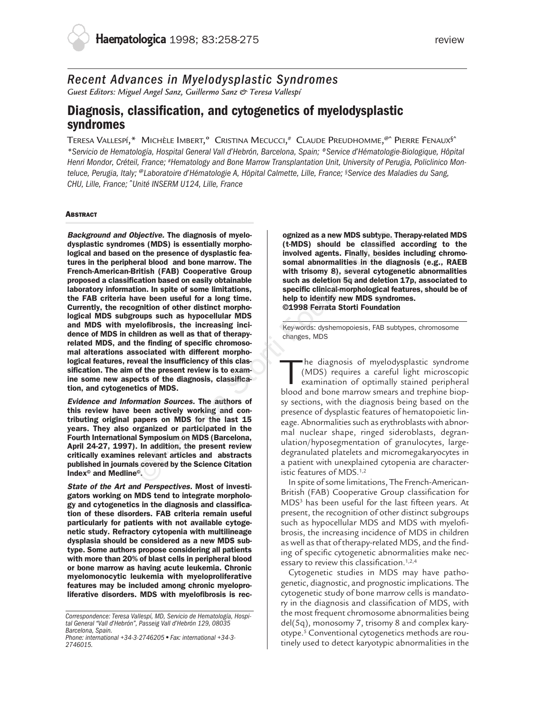# *Recent Advances in Myelodysplastic Syndromes*

*Guest Editors: Miguel Angel Sanz, Guillermo Sanz & Teresa Vallespí*

# **Diagnosis, classification, and cytogenetics of myelodysplastic syndromes**

TERESA VALLESPÍ,\* MICHÈLE IMBERT,<sup>o</sup> Cristina Mecucci,<sup>#</sup> Claude Preudhomme,<sup>@^</sup> Pierre Fenaux<sup>§^</sup> *\*Servicio de Hematología, Hospital General Vall d'Hebrón, Barcelona, Spain; ºService d'Hématologie-Biologique, Hôpital Henri Mondor, Créteil, France; #Hematology and Bone Marrow Transplantation Unit, University of Perugia, Policlinico Monteluce, Perugia, Italy;* @*Laboratoire d'Hématologie A, Hôpital Calmette, Lille, France; §Service des Maladies du Sang, CHU, Lille, France;* ^*Unité INSERM U124, Lille, France*

# **ABSTRACT**

**Background and Objective. The diagnosis of myelodysplastic syndromes (MDS) is essentially morphological and based on the presence of dysplastic features in the peripheral blood and bone marrow. The French-American-British (FAB) Cooperative Group proposed a classification based on easily obtainable laboratory information. In spite of some limitations, the FAB criteria have been useful for a long time. Currently, the recognition of other distinct morphological MDS subgroups such as hypocellular MDS and MDS with myelofibrosis, the increasing incidence of MDS in children as well as that of therapyrelated MDS, and the finding of specific chromosomal alterations associated with different morphological features, reveal the insufficiency of this classification. The aim of the present review is to examine some new aspects of the diagnosis, classification, and cytogenetics of MDS.** bjective. The diagnosis of myelomoglies entiting for the present and holds is essentially morpholonic the classified<br>in the presence of dysplastic fea-<br>involved agents. Finally, besides<br>the district FAB) Cooperative Group

**Evidence and Information Sources. The authors of this review have been actively working and contributing original papers on MDS for the last 15 years. They also organized or participated in the Fourth International Symposium on MDS (Barcelona, April 24-27, 1997). In addition, the present review critically examines relevant articles and abstracts published in journals covered by the Science Citation Index© and Medline©.**

**State of the Art and Perspectives. Most of investigators working on MDS tend to integrate morphology and cytogenetics in the diagnosis and classification of these disorders. FAB criteria remain useful particularly for patients with not available cytogenetic study. Refractory cytopenia with multilineage dysplasia should be considered as a new MDS subtype. Some authors propose considering all patients with more than 20% of blast cells in peripheral blood or bone marrow as having acute leukemia. Chronic myelomonocytic leukemia with myeloproliferative features may be included among chronic myeloproliferative disorders. MDS with myelofibrosis is rec-** **ognized as a new MDS subtype. Therapy-related MDS (t-MDS) should be classified according to the involved agents. Finally, besides including chromosomal abnormalities in the diagnosis (e.g., RAEB with trisomy 8), several cytogenetic abnormalities such as deletion 5q and deletion 17p, associated to specific clinical-morphological features, should be of help to identify new MDS syndromes. ©1998 Ferrata Storti Foundation**

Key-words: dyshemopoiesis, FAB subtypes, chromosome changes, MDS

he diagnosis of myelodysplastic syndrome (MDS) requires a careful light microscopic examination of optimally stained peripheral blood and bone marrow smears and trephine biopsy sections, with the diagnosis being based on the presence of dysplastic features of hematopoietic lineage. Abnormalities such as erythroblasts with abnormal nuclear shape, ringed sideroblasts, degranulation/hyposegmentation of granulocytes, largedegranulated platelets and micromegakaryocytes in a patient with unexplained cytopenia are characteristic features of MDS.1,2

In spite of some limitations, The French-American-British (FAB) Cooperative Group classification for MDS3 has been useful for the last fifteen years. At present, the recognition of other distinct subgroups such as hypocellular MDS and MDS with myelofibrosis, the increasing incidence of MDS in children as well as that of therapy-related MDS, and the finding of specific cytogenetic abnormalities make necessary to review this classification.<sup>1,2,4</sup>

Cytogenetic studies in MDS may have pathogenetic, diagnostic, and prognostic implications. The cytogenetic study of bone marrow cells is mandatory in the diagnosis and classification of MDS, with the most frequent chromosome abnormalities being del(5q), monosomy 7, trisomy 8 and complex karyotype.5 Conventional cytogenetics methods are routinely used to detect karyotypic abnormalities in the

*Correspondence: Teresa Vallespí, MD, Servicio de Hematología, Hospital General "Vall d'Hebrón", Passeig Vall d'Hebrón 129, 08035 Barcelona, Spain.*

*Phone: international +34-3-2746205* • *Fax: international +34-3- 2746015.*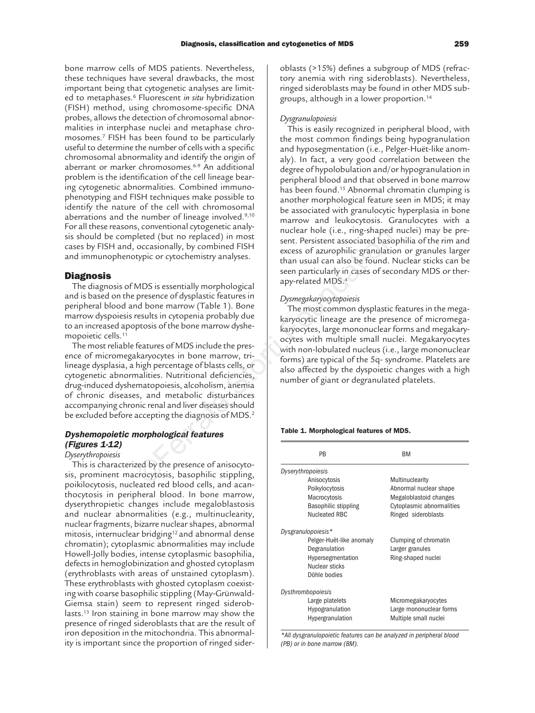bone marrow cells of MDS patients. Nevertheless, these techniques have several drawbacks, the most important being that cytogenetic analyses are limited to metaphases.6 Fluorescent *in situ* hybridization (FISH) method, using chromosome-specific DNA probes, allows the detection of chromosomal abnormalities in interphase nuclei and metaphase chromosomes.7 FISH has been found to be particularly useful to determine the number of cells with a specific chromosomal abnormality and identify the origin of aberrant or marker chromosomes.6-9 An additional problem is the identification of the cell lineage bearing cytogenetic abnormalities. Combined immunophenotyping and FISH techniques make possible to identify the nature of the cell with chromosomal aberrations and the number of lineage involved.9,10 For all these reasons, conventional cytogenetic analysis should be completed (but no replaced) in most cases by FISH and, occasionally, by combined FISH and immunophenotypic or cytochemistry analyses.

# **Diagnosis**

The diagnosis of MDS is essentially morphological and is based on the presence of dysplastic features in peripheral blood and bone marrow (Table 1). Bone marrow dyspoiesis results in cytopenia probably due to an increased apoptosis of the bone marrow dyshemopoietic cells.11

The most reliable features of MDS include the presence of micromegakaryocytes in bone marrow, trilineage dysplasia, a high percentage of blasts cells, or cytogenetic abnormalities. Nutritional deficiencies, drug-induced dyshematopoiesis, alcoholism, anemia of chronic diseases, and metabolic disturbances accompanying chronic renal and liver diseases should be excluded before accepting the diagnosis of MDS.<sup>2</sup> beted (but no replaced) in most<br>
start. Persistent associated based consionally, by combined FISH<br>
typic or cytochemistry analyses.<br>
MDS is essentially morphological<br>
may usad can also be found. N<br>
MDS is essentially morp

# **Dyshemopoietic morphological features (Figures 1-12)**

### *Dyserythropoiesis*

This is characterized by the presence of anisocytosis, prominent macrocytosis, basophilic stippling, poikilocytosis, nucleated red blood cells, and acanthocytosis in peripheral blood. In bone marrow, dyserythropietic changes include megaloblastosis and nuclear abnormalities (e.g., multinuclearity, nuclear fragments, bizarre nuclear shapes, abnormal mitosis, internuclear bridging<sup>12</sup> and abnormal dense chromatin); cytoplasmic abnormalities may include Howell-Jolly bodies, intense cytoplasmic basophilia, defects in hemoglobinization and ghosted cytoplasm (erythroblasts with areas of unstained cytoplasm). These erythroblasts with ghosted cytoplasm coexisting with coarse basophilic stippling (May-Grünwald-Giemsa stain) seem to represent ringed sideroblasts.<sup>13</sup> Iron staining in bone marrow may show the presence of ringed sideroblasts that are the result of iron deposition in the mitochondria. This abnormality is important since the proportion of ringed sideroblasts (>15%) defines a subgroup of MDS (refractory anemia with ring sideroblasts). Nevertheless, ringed sideroblasts may be found in other MDS subgroups, although in a lower proportion.14

# *Dysgranulopoiesis*

This is easily recognized in peripheral blood, with the most common findings being hypogranulation and hyposegmentation (i.e., Pelger-Huët-like anomaly). In fact, a very good correlation between the degree of hypolobulation and/or hypogranulation in peripheral blood and that observed in bone marrow has been found.<sup>15</sup> Abnormal chromatin clumping is another morphological feature seen in MDS; it may be associated with granulocytic hyperplasia in bone marrow and leukocytosis. Granulocytes with a nuclear hole (i.e., ring-shaped nuclei) may be present. Persistent associated basophilia of the rim and excess of azurophilic granulation or granules larger than usual can also be found. Nuclear sticks can be seen particularly in cases of secondary MDS or therapy-related MDS.4

### *Dysmegakaryocytopoiesis*

The most common dysplastic features in the megakaryocytic lineage are the presence of micromegakaryocytes, large mononuclear forms and megakaryocytes with multiple small nuclei. Megakaryocytes with non-lobulated nucleus (i.e., large mononuclear forms) are typical of the 5q- syndrome. Platelets are also affected by the dyspoietic changes with a high number of giant or degranulated platelets.

### **Table 1. Morphological features of MDS.**

| PB                       | ВM                        |
|--------------------------|---------------------------|
| Dyserythropoiesis        |                           |
| Anisocytosis             | Multinuclearity           |
| Poikylocytosis           | Abnormal nuclear shape    |
| Macrocytosis             | Megaloblastoid changes    |
| Basophilic stippling     | Cytoplasmic abnormalities |
| Nucleated RBC            | Ringed sideroblasts       |
| Dysgranulopoiesis*       |                           |
| Pelger-Huët-like anomaly | Clumping of chromatin     |
| Degranulation            | Larger granules           |
| Hypersegmentation        | Ring-shaped nuclei        |
| Nuclear sticks           |                           |
| Döhle bodies             |                           |
| Dysthrombopoiesis        |                           |
| Large platelets          | Micromegakaryocytes       |
| Hypogranulation          | Large mononuclear forms   |
| Hypergranulation         | Multiple small nuclei     |
|                          |                           |

*\*All dysgranulopoietic features can be analyzed in peripheral blood (PB) or in bone marrow (BM).*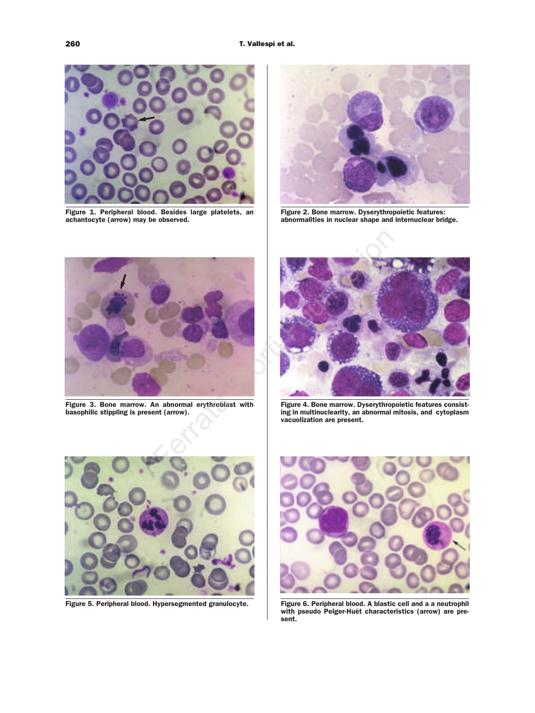

**Figure 1. Peripheral blood. Besides large platelets, an achantocyte (arrow) may be observed.**



**Figure 2. Bone marrow. Dyserythropoietic features: abnormalities in nuclear shape and internuclear bridge.**



**Figure 3. Bone marrow. An abnormal erythroblast with basophilic stippling is present (arrow).**



**Figure 4. Bone marrow. Dyserythropoietic features consisting in multinuclearity, an abnormal mitosis, and cytoplasm vacuolization are present.** 



**Figure 5. Peripheral blood. Hypersegmented granulocyte.**



**Figure 6. Peripheral blood. A blastic cell and a a neutrophil with pseudo Pelger-Huët characteristics (arrow) are present.**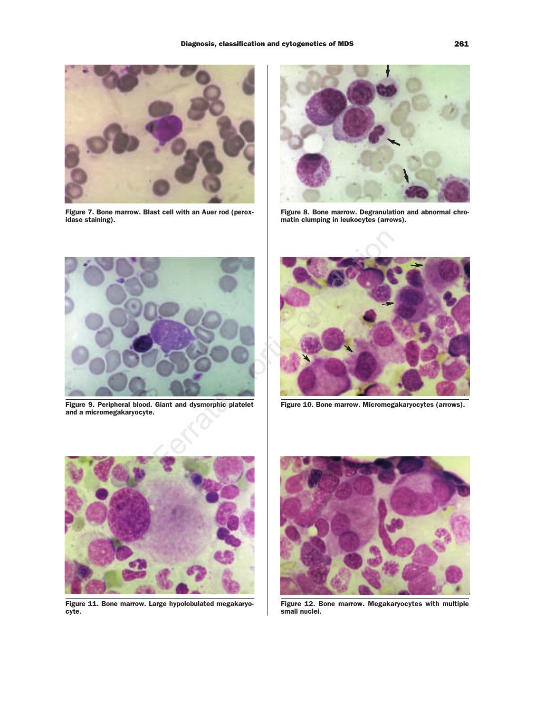

**Figure 7. Bone marrow. Blast cell with an Auer rod (peroxidase staining).**



**Figure 8. Bone marrow. Degranulation and abnormal chromatin clumping in leukocytes (arrows).**



**Figure 9. Peripheral blood. Giant and dysmorphic platelet and a micromegakaryocyte.**



**Figure 10. Bone marrow. Micromegakaryocytes (arrows).**



**Figure 11. Bone marrow. Large hypolobulated megakaryocyte.**



**Figure 12. Bone marrow. Megakaryocytes with multiple small nuclei.**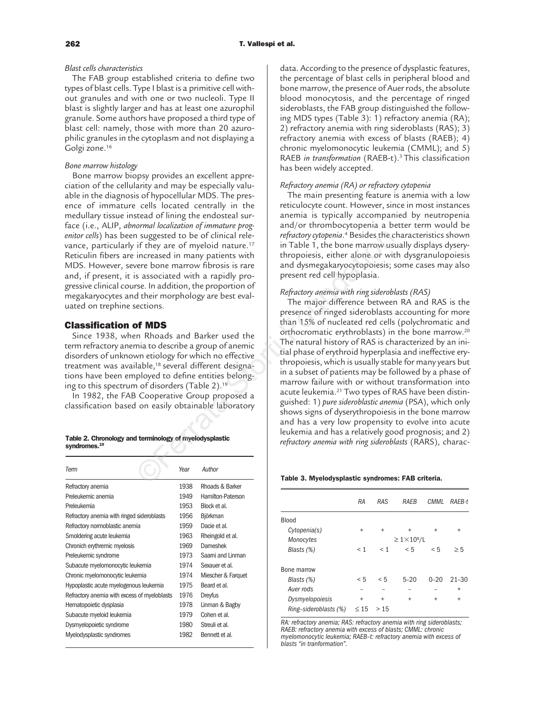# *Blast cells characteristics*

The FAB group established criteria to define two types of blast cells. Type I blast is a primitive cell without granules and with one or two nucleoli. Type II blast is slightly larger and has at least one azurophil granule. Some authors have proposed a third type of blast cell: namely, those with more than 20 azurophilic granules in the cytoplasm and not displaying a Golgi zone.16

# *Bone marrow histology*

Bone marrow biopsy provides an excellent appreciation of the cellularity and may be especially valuable in the diagnosis of hypocellular MDS. The presence of immature cells located centrally in the medullary tissue instead of lining the endosteal surface (i.e., ALIP, *abnormal localization of immature progenitor cells*) has been suggested to be of clinical relevance, particularly if they are of myeloid nature.<sup>17</sup> Reticulin fibers are increased in many patients with MDS. However, severe bone marrow fibrosis is rare and, if present, it is associated with a rapidly progressive clinical course. In addition, the proportion of megakaryocytes and their morphology are best evaluated on trephine sections.

### **Classification of MDS**

Since 1938, when Rhoads and Barker used the term refractory anemia to describe a group of anemic disorders of unknown etiology for which no effective treatment was available,<sup>18</sup> several different designations have been employed to define entities belonging to this spectrum of disorders (Table 2).19

In 1982, the FAB Cooperative Group proposed a classification based on easily obtainable laboratory

| Table 2. Chronology and terminology of myelodysplastic |  |  |  |
|--------------------------------------------------------|--|--|--|
| syndromes. <sup>19</sup>                               |  |  |  |

| Term                                         | Year | Author             |
|----------------------------------------------|------|--------------------|
| Refractory anemia                            | 1938 | Rhoads & Barker    |
| Preleukemic anemia                           | 1949 | Hamilton-Paterson  |
| Preleukemia                                  | 1953 | Block et al.       |
| Refractory anemia with ringed sideroblasts   | 1956 | <b>Björkman</b>    |
| Refractory normoblastic anemia               | 1959 | Dacie et al.       |
| Smoldering acute leukemia                    | 1963 | Rheingold et al.   |
| Chronich erythremic myelosis                 | 1969 | Dameshek           |
| Preleukemic syndrome                         | 1973 | Saami and Linman   |
| Subacute myelomonocytic leukemia             | 1974 | Sexauer et al.     |
| Chronic myelomonocytic leukemia              | 1974 | Miescher & Farquet |
| Hypoplastic acute myelogenous leukemia       | 1975 | Beard et al.       |
| Refractory anemia with excess of myeloblasts | 1976 | Dreyfus            |
| Hematopoietic dysplasia                      | 1978 | Linman & Bagby     |
| Subacute myeloid leukemia                    | 1979 | Cohen et al.       |
| Dysmyelopoietic syndrome                     | 1980 | Streuli et al.     |
| Myelodysplastic syndromes                    | 1982 | Bennett et al.     |

data. According to the presence of dysplastic features, the percentage of blast cells in peripheral blood and bone marrow, the presence of Auer rods, the absolute blood monocytosis, and the percentage of ringed sideroblasts, the FAB group distinguished the following MDS types (Table 3): 1) refractory anemia (RA); 2) refractory anemia with ring sideroblasts (RAS); 3) refractory anemia with excess of blasts (RAEB); 4) chronic myelomonocytic leukemia (CMML); and 5) RAEB *in transformation* (RAEB-t).3 This classification has been widely accepted.

### *Refractory anemia (RA) or refractory cytopenia*

The main presenting feature is anemia with a low reticulocyte count. However, since in most instances anemia is typically accompanied by neutropenia and/or thrombocytopenia a better term would be *refractory cytopenia*. <sup>4</sup> Besides the characteristics shown in Table 1, the bone marrow usually displays dyserythropoiesis, either alone or with dysgranulopoiesis and dysmegakaryocytopoiesis; some cases may also present red cell hypoplasia.

# *Refractory anemia with ring sideroblasts (RAS)*

The major difference between RA and RAS is the presence of ringed sideroblasts accounting for more than 15% of nucleated red cells (polychromatic and orthocromatic erythroblasts) in the bone marrow.20 The natural history of RAS is characterized by an initial phase of erythroid hyperplasia and ineffective erythropoiesis, which is usually stable for many years but in a subset of patients may be followed by a phase of marrow failure with or without transformation into acute leukemia.21 Two types of RAS have been distinguished: 1) *pure sideroblastic anemia* (PSA), which only shows signs of dyserythropoiesis in the bone marrow and has a very low propensity to evolve into acute leukemia and has a relatively good prognosis; and 2) *refractory anemia with ring sideroblasts* (RARS), charac-The suggested to be of clinical relections.<sup>17</sup><br>
in Table 1, the bone marrow us<br>
increased in many partients with<br>
in Table 1, the bone marrow us<br>
in the propositions with the propositions of the time of the stocial dysine

#### **Table 3. Myelodysplastic syndromes: FAB criteria.**

|                       | RA        | RAS       | RAFR                    | CMML      | RAEB-t    |
|-----------------------|-----------|-----------|-------------------------|-----------|-----------|
| Blood                 |           |           |                         |           |           |
| Cytopenia(s)          | $\ddot{}$ | $\ddot{}$ | $\ddot{}$               | $\ddot{}$ | $\ddot{}$ |
| Monocytes             |           |           | $\geq 1 \times 10^9$ /L |           |           |
| Blasts (%)            | $<$ 1     | $\leq 1$  | < 5                     | < 5       | $\geq 5$  |
| Bone marrow           |           |           |                         |           |           |
| Blasts (%)            | < 5       | $\leq 5$  | $5 - 20$                | $0 - 20$  | $21 - 30$ |
| Auer rods             |           |           |                         |           | $\ddot{}$ |
| Dysmyelopoiesis       | $\ddot{}$ | $\ddot{}$ | $\ddot{}$               | $\ddot{}$ | $\ddot{}$ |
| Ring-sideroblasts (%) | $\leq 15$ | > 15      |                         |           |           |

*RA: refractory anemia; RAS: refractory anemia with ring sideroblasts; RAEB: refractory anemia with excess of blasts; CMML: chronic myelomonocytic leukemia; RAEB–t: refractory anemia with excess of blasts "in tranformation".*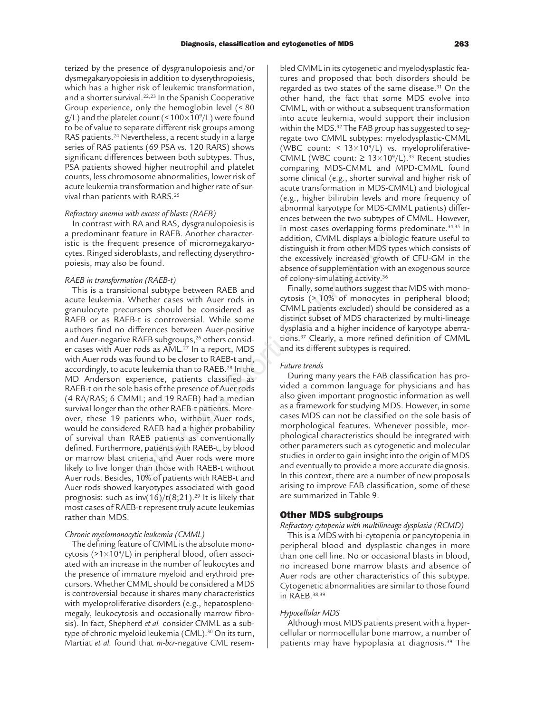terized by the presence of dysgranulopoiesis and/or dysmegakaryopoiesis in addition to dyserythropoiesis, which has a higher risk of leukemic transformation, and a shorter survival.<sup>22,23</sup> In the Spanish Cooperative Group experience, only the hemoglobin level (< 80  $g/L$ ) and the platelet count (<100×10<sup>9</sup>/L) were found to be of value to separate different risk groups among RAS patients.<sup>24</sup> Nevertheless, a recent study in a large series of RAS patients (69 PSA vs. 120 RARS) shows significant differences between both subtypes. Thus, PSA patients showed higher neutrophil and platelet counts, less chromosome abnormalities, lower risk of acute leukemia transformation and higher rate of survival than patients with RARS.25

### *Refractory anemia with excess of blasts (RAEB)*

In contrast with RA and RAS, dysgranulopoiesis is a predominant feature in RAEB. Another characteristic is the frequent presence of micromegakaryocytes. Ringed sideroblasts, and reflecting dyserythropoiesis, may also be found.

### *RAEB in transformation (RAEB-t)*

This is a transitional subtype between RAEB and acute leukemia. Whether cases with Auer rods in granulocyte precursors should be considered as RAEB or as RAEB-t is controversial. While some authors find no differences between Auer-positive and Auer-negative RAEB subgroups,<sup>26</sup> others consider cases with Auer rods as AML.27 In a report, MDS with Auer rods was found to be closer to RAEB-t and, accordingly, to acute leukemia than to RAEB.28 In the MD Anderson experience, patients classified as RAEB-t on the sole basis of the presence of Auer rods (4 RA/RAS; 6 CMML; and 19 RAEB) had a median survival longer than the other RAEB-t patients. Moreover, these 19 patients who, without Auer rods, would be considered RAEB had a higher probability of survival than RAEB patients as conventionally defined. Furthermore, patients with RAEB-t, by blood or marrow blast criteria, and Auer rods were more likely to live longer than those with RAEB-t without Auer rods. Besides, 10% of patients with RAEB-t and Auer rods showed karyotypes associated with good prognosis: such as inv(16)/t(8;21).<sup>29</sup> It is likely that most cases of RAEB-t represent truly acute leukemias rather than MDS. Example The RAEB. Another character-<br>
in RAEB. Another character-<br>
the presence of micromegakaryo-<br>
biblasts, and reflecting dyserythro-<br>
the exersively increased growth absence of supplementation with<br>
of colony-simulatin

# *Chronic myelomonocytic leukemia (CMML)*

The defining feature of CMML is the absolute monocytosis ( $>1\times10^9/L$ ) in peripheral blood, often associated with an increase in the number of leukocytes and the presence of immature myeloid and erythroid precursors. Whether CMML should be considered a MDS is controversial because it shares many characteristics with myeloproliferative disorders (e.g., hepatosplenomegaly, leukocytosis and occasionally marrow fibrosis). In fact, Shepherd *et al.* consider CMML as a subtype of chronic myeloid leukemia (CML).30 On its turn, Martiat *et al.* found that *m-bcr*-negative CML resembled CMML in its cytogenetic and myelodysplastic features and proposed that both disorders should be regarded as two states of the same disease.31 On the other hand, the fact that some MDS evolve into CMML, with or without a subsequent transformation into acute leukemia, would support their inclusion within the MDS.<sup>32</sup> The FAB group has suggested to segregate two CMML subtypes: myelodysplastic-CMML (WBC count: <  $13\times10^9$ /L) vs. myeloproliferative-CMML (WBC count:  $\geq 13 \times 10^9$ /L).<sup>33</sup> Recent studies comparing MDS-CMML and MPD-CMML found some clinical (e.g., shorter survival and higher risk of acute transformation in MDS-CMML) and biological (e.g., higher bilirubin levels and more frequency of abnormal karyotype for MDS-CMML patients) differences between the two subtypes of CMML. However, in most cases overlapping forms predominate.34,35 In addition, CMML displays a biologic feature useful to distinguish it from other MDS types which consists of the excessively increased growth of CFU-GM in the absence of supplementation with an exogenous source of colony-simulating activity.36

Finally, some authors suggest that MDS with monocytosis (> 10% of monocytes in peripheral blood; CMML patients excluded) should be considered as a distinct subset of MDS characterized by multi-lineage dysplasia and a higher incidence of karyotype aberrations.37 Clearly, a more refined definition of CMML and its different subtypes is required.

### *Future trends*

During many years the FAB classification has provided a common language for physicians and has also given important prognostic information as well as a framework for studying MDS. However, in some cases MDS can not be classified on the sole basis of morphological features. Whenever possible, morphological characteristics should be integrated with other parameters such as cytogenetic and molecular studies in order to gain insight into the origin of MDS and eventually to provide a more accurate diagnosis. In this context, there are a number of new proposals arising to improve FAB classification, some of these are summarized in Table 9.

### **Other MDS subgroups**

*Refractory cytopenia with multilineage dysplasia (RCMD)*

This is a MDS with bi-cytopenia or pancytopenia in peripheral blood and dysplastic changes in more than one cell line. No or occasional blasts in blood, no increased bone marrow blasts and absence of Auer rods are other characteristics of this subtype. Cytogenetic abnormalities are similar to those found in RAEB.38,39

### *Hypocellular MDS*

Although most MDS patients present with a hypercellular or normocellular bone marrow, a number of patients may have hypoplasia at diagnosis.39 The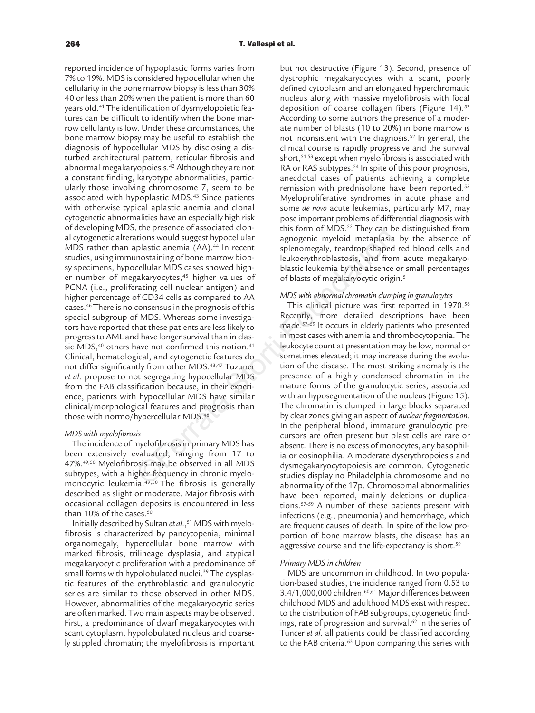reported incidence of hypoplastic forms varies from 7% to 19%. MDS is considered hypocellular when the cellularity in the bone marrow biopsy is less than 30% 40 or less than 20% when the patient is more than 60 years old.41 The identification of dysmyelopoietic features can be difficult to identify when the bone marrow cellularity is low. Under these circumstances, the bone marrow biopsy may be useful to establish the diagnosis of hypocellular MDS by disclosing a disturbed architectural pattern, reticular fibrosis and abnormal megakaryopoiesis.42 Although they are not a constant finding, karyotype abnormalities, particularly those involving chromosome 7, seem to be associated with hypoplastic MDS.43 Since patients with otherwise typical aplastic anemia and clonal cytogenetic abnormalities have an especially high risk of developing MDS, the presence of associated clonal cytogenetic alterations would suggest hypocellular MDS rather than aplastic anemia (AA).<sup>44</sup> In recent studies, using immunostaining of bone marrow biopsy specimens, hypocellular MDS cases showed higher number of megakaryocytes,<sup>45</sup> higher values of PCNA (i.e., proliferating cell nuclear antigen) and higher percentage of CD34 cells as compared to AA cases.46 There is no consensus in the prognosis of this special subgroup of MDS. Whereas some investigators have reported that these patients are less likely to progress to AML and have longer survival than in classic MDS,<sup>40</sup> others have not confirmed this notion.<sup>41</sup> Clinical, hematological, and cytogenetic features do not differ significantly from other MDS.43,47 Tuzuner *et al*. propose to not segregating hypocellular MDS from the FAB classification because, in their experience, patients with hypocellular MDS have similar clinical/morphological features and prognosis than those with normo/hypercellular MDS.<sup>48</sup> Financial more and the proposition because in prime to the prefine of the principal in the principal more and the principal more and the principal more and the proposition because the proposition of the proposition of the

### *MDS with myelofibrosis*

The incidence of myelofibrosis in primary MDS has been extensively evaluated, ranging from 17 to 47%.49,50 Myelofibrosis may be observed in all MDS subtypes, with a higher frequency in chronic myelomonocytic leukemia.<sup>49,50</sup> The fibrosis is generally described as slight or moderate. Major fibrosis with occasional collagen deposits is encountered in less than 10% of the cases. $50$ 

Initially described by Sultan et al.,<sup>51</sup> MDS with myelofibrosis is characterized by pancytopenia, minimal organomegaly, hypercellular bone marrow with marked fibrosis, trilineage dysplasia, and atypical megakaryocytic proliferation with a predominance of small forms with hypolobulated nuclei.<sup>39</sup> The dysplastic features of the erythroblastic and granulocytic series are similar to those observed in other MDS. However, abnormalities of the megakaryocytic series are often marked. Two main aspects may be observed. First, a predominance of dwarf megakaryocytes with scant cytoplasm, hypolobulated nucleus and coarsely stippled chromatin; the myelofibrosis is important but not destructive (Figure 13). Second, presence of dystrophic megakaryocytes with a scant, poorly defined cytoplasm and an elongated hyperchromatic nucleus along with massive myelofibrosis with focal deposition of coarse collagen fibers (Figure 14).<sup>52</sup> According to some authors the presence of a moderate number of blasts (10 to 20%) in bone marrow is not inconsistent with the diagnosis.52 In general, the clinical course is rapidly progressive and the survival short,51,53 except when myelofibrosis is associated with RA or RAS subtypes.<sup>54</sup> In spite of this poor prognosis, anecdotal cases of patients achieving a complete remission with prednisolone have been reported.55 Myeloproliferative syndromes in acute phase and some *de novo* acute leukemias, particularly M7, may pose important problems of differential diagnosis with this form of MDS.<sup>52</sup> They can be distinguished from agnogenic myeloid metaplasia by the absence of splenomegaly, teardrop-shaped red blood cells and leukoerythroblastosis, and from acute megakaryoblastic leukemia by the absence or small percentages of blasts of megakaryocytic origin.<sup>5</sup>

# *MDS with abnormal chromatin clumping in granulocytes*

This clinical picture was first reported in 1970.<sup>56</sup> Recently, more detailed descriptions have been made.57–59 It occurs in elderly patients who presented in most cases with anemia and thrombocytopenia. The leukocyte count at presentation may be low, normal or sometimes elevated; it may increase during the evolution of the disease. The most striking anomaly is the presence of a highly condensed chromatin in the mature forms of the granulocytic series, associated with an hyposegmentation of the nucleus (Figure 15). The chromatin is clumped in large blocks separated by clear zones giving an aspect of *nuclear fragmentation*. In the peripheral blood, immature granulocytic precursors are often present but blast cells are rare or absent. There is no excess of monocytes, any basophilia or eosinophilia. A moderate dyserythropoiesis and dysmegakaryocytopoiesis are common. Cytogenetic studies display no Philadelphia chromosome and no abnormality of the 17p. Chromosomal abnormalities have been reported, mainly deletions or duplications.57-59 A number of these patients present with infections (e.g., pneumonia) and hemorrhage, which are frequent causes of death. In spite of the low proportion of bone marrow blasts, the disease has an aggressive course and the life-expectancy is short.<sup>59</sup>

### *Primary MDS in children*

MDS are uncommon in childhood. In two population-based studies, the incidence ranged from 0.53 to 3.4/1,000,000 children.60,61 Major differences between childhood MDS and adulthood MDS exist with respect to the distribution of FAB subgroups, cytogenetic findings, rate of progression and survival.<sup>62</sup> In the series of Tuncer *et al*. all patients could be classified according to the FAB criteria.<sup>63</sup> Upon comparing this series with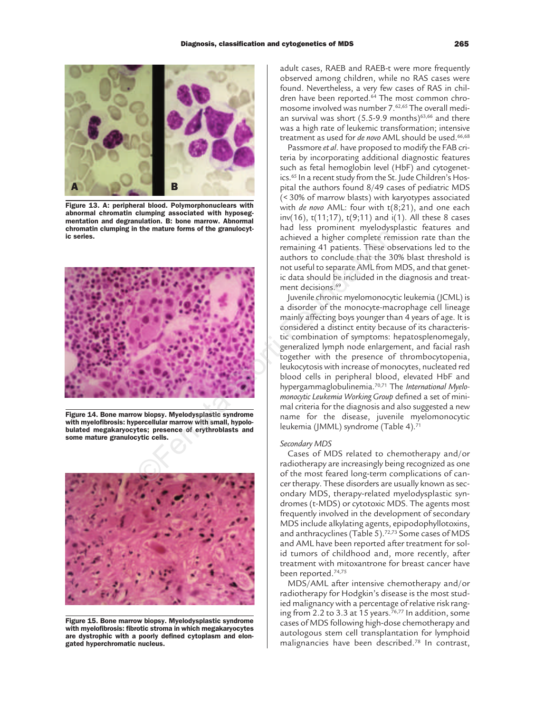

**Figure 13. A: peripheral blood. Polymorphonuclears with abnormal chromatin clumping associated with hyposegmentation and degranulation. B: bone marrow. Abnormal chromatin clumping in the mature forms of the granulocytic series.** 



**Figure 14. Bone marrow biopsy. Myelodysplastic syndrome with myelofibrosis: hypercellular marrow with small, hypolobulated megakaryocytes; presence of erythroblasts and some mature granulocytic cells.**



**Figure 15. Bone marrow biopsy. Myelodysplastic syndrome with myelofibrosis: fibrotic stroma in which megakaryocytes are dystrophic with a poorly defined cytoplasm and elongated hyperchromatic nucleus.** 

adult cases, RAEB and RAEB-t were more frequently observed among children, while no RAS cases were found. Nevertheless, a very few cases of RAS in children have been reported.<sup>64</sup> The most common chromosome involved was number 7.62,65 The overall median survival was short  $(5.5-9.9 \text{ months})^{63,66}$  and there was a high rate of leukemic transformation; intensive treatment as used for *de novo* AML should be used.66,68

Passmore *et al*. have proposed to modify the FAB criteria by incorporating additional diagnostic features such as fetal hemoglobin level (HbF) and cytogenetics.65 In a recent study from the St. Jude Children's Hospital the authors found 8/49 cases of pediatric MDS (< 30% of marrow blasts) with karyotypes associated with *de novo* AML: four with t(8;21), and one each inv(16), t(11;17), t(9;11) and i(1). All these 8 cases had less prominent myelodysplastic features and achieved a higher complete remission rate than the remaining 41 patients. These observations led to the authors to conclude that the 30% blast threshold is not useful to separate AML from MDS, and that genetic data should be included in the diagnosis and treatment decisions.<sup>69</sup>

Juvenile chronic myelomonocytic leukemia (JCML) is a disorder of the monocyte-macrophage cell lineage mainly affecting boys younger than 4 years of age. It is considered a distinct entity because of its characteristic combination of symptoms: hepatosplenomegaly, generalized lymph node enlargement, and facial rash together with the presence of thrombocytopenia, leukocytosis with increase of monocytes, nucleated red blood cells in peripheral blood, elevated HbF and hypergammaglobulinemia.70,71 The *International Myelomonocytic Leukemia Working Group* defined a set of minimal criteria for the diagnosis and also suggested a new name for the disease, juvenile myelomonocytic leukemia (JMML) syndrome (Table 4).71

### *Secondary MDS*

Cases of MDS related to chemotherapy and/or radiotherapy are increasingly being recognized as one of the most feared long-term complications of cancer therapy. These disorders are usually known as secondary MDS, therapy-related myelodysplastic syndromes (t-MDS) or cytotoxic MDS. The agents most frequently involved in the development of secondary MDS include alkylating agents, epipodophyllotoxins, and anthracyclines (Table 5).<sup>72,73</sup> Some cases of MDS and AML have been reported after treatment for solid tumors of childhood and, more recently, after treatment with mitoxantrone for breast cancer have been reported.74,75

MDS/AML after intensive chemotherapy and/or radiotherapy for Hodgkin's disease is the most studied malignancy with a percentage of relative risk ranging from 2.2 to 3.3 at 15 years.<sup>76,77</sup> In addition, some cases of MDS following high-dose chemotherapy and autologous stem cell transplantation for lymphoid malignancies have been described.78 In contrast,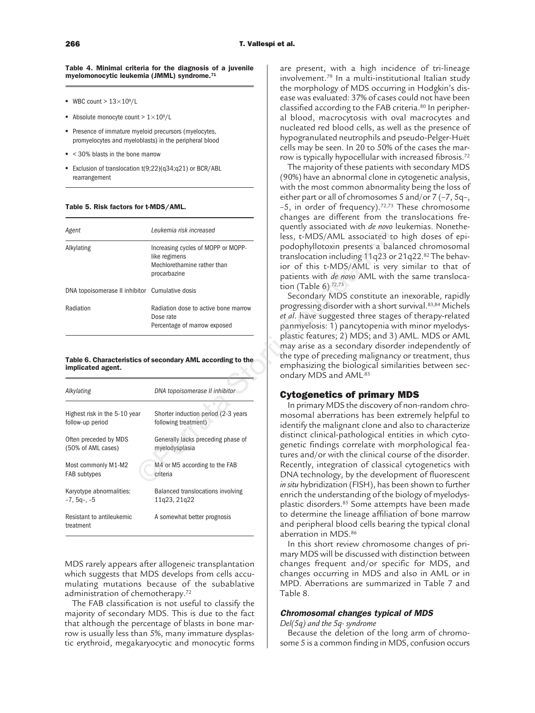**Table 4. Minimal criteria for the diagnosis of a juvenile myelomonocytic leukemia (JMML) syndrome.71**

- WBC count  $> 13 \times 10^9$ /L
- Absolute monocyte count  $> 1 \times 10^9 / L$
- Presence of immature myeloid precursors (myelocytes, promyelocytes and myeloblasts) in the peripheral blood
- < 30% blasts in the bone marrow
- Exclusion of translocation t(9;22)(q34;q21) or BCR/ABL rearrangement

### **Table 5. Risk factors for t-MDS/AML.**

| Agent                                           | Leukemia risk increased                                                                            |
|-------------------------------------------------|----------------------------------------------------------------------------------------------------|
| Alkylating                                      | Increasing cycles of MOPP or MOPP-<br>like regimens<br>Mechlorethamine rather than<br>procarbazine |
| DNA topoisomerase II inhibitor Cumulative dosis |                                                                                                    |
| Radiation                                       | Radiation dose to active bone marrow<br>Dose rate<br>Percentage of marrow exposed                  |

### **Table 6. Characteristics of secondary AML according to the implicated agent.**

| Agent                                           | Leukenna hsk muleaseu                                      | less, t-MDS/AML associated to               |
|-------------------------------------------------|------------------------------------------------------------|---------------------------------------------|
| Alkylating                                      | Increasing cycles of MOPP or MOPP-                         | podophyllotoxin presents a bal              |
|                                                 | like regimens                                              | translocation including 11q23 of            |
|                                                 | Mechlorethamine rather than                                | ior of this t-MDS/AML is ver                |
|                                                 | procarbazine                                               | patients with de novo AML with              |
| DNA topoisomerase II inhibitor Cumulative dosis |                                                            | tion (Table $6$ ).72,73                     |
|                                                 |                                                            | Secondary MDS constitute a                  |
| Radiation                                       | Radiation dose to active bone marrow                       | progressing disorder with a shor            |
|                                                 | Dose rate                                                  | et al. have suggested three stag            |
|                                                 | Percentage of marrow exposed                               | panmyelosis: 1) pancytopenia v              |
|                                                 |                                                            | plastic features; 2) MDS; and 3             |
|                                                 |                                                            | may arise as a secondary disor              |
|                                                 | Table 6. Characteristics of secondary AML according to the | the type of preceding malignan              |
| implicated agent.                               |                                                            | emphasizing the biological sim              |
|                                                 |                                                            | ondary MDS and AML <sup>83</sup>            |
| Alkylating                                      | DNA topoisomerase II inhibitor                             |                                             |
|                                                 |                                                            | <b>Cytogenetics of primary</b>              |
|                                                 |                                                            | In primary MDS the discovery                |
| Highest risk in the 5-10 year                   | Shorter induction period (2-3 years                        | mosomal aberrations has been                |
| follow-up period                                | following treatment)                                       | identify the malignant clone and            |
| Often preceded by MDS                           | Generally lacks preceding phase of                         | distinct clinical-pathological er           |
| (50% of AML cases)                              | myelodysplasia                                             | genetic findings correlate with             |
|                                                 |                                                            | tures and/or with the clinical co           |
| Most commonly M1-M2                             | M4 or M5 according to the FAB                              | Recently, integration of classic            |
| FAB subtypes                                    | criteria                                                   | DNA technology, by the develo               |
|                                                 |                                                            | in situ hybridization (FISH), has b         |
| Karyotype abnormalities:                        | Balanced translocations involving                          | enrich the understanding of the             |
| $-7, 5q-, -5$                                   | 11q23, 21q22                                               | plastic disorders. <sup>85</sup> Some attem |
| Resistant to antileukemic                       | A somewhat better prognosis                                | to determine the lineage affiliat           |
| treatment                                       |                                                            | and peripheral blood cells bear             |

MDS rarely appears after allogeneic transplantation which suggests that MDS develops from cells accumulating mutations because of the subablative administration of chemotherapy.72

The FAB classification is not useful to classify the majority of secondary MDS. This is due to the fact that although the percentage of blasts in bone marrow is usually less than 5%, many immature dysplastic erythroid, megakaryocytic and monocytic forms

are present, with a high incidence of tri-lineage involvement.79 In a multi-institutional Italian study the morphology of MDS occurring in Hodgkin's disease was evaluated: 37% of cases could not have been classified according to the FAB criteria.<sup>80</sup> In peripheral blood, macrocytosis with oval macrocytes and nucleated red blood cells, as well as the presence of hypogranulated neutrophils and pseudo-Pelger-Huët cells may be seen. In 20 to 50% of the cases the marrow is typically hypocellular with increased fibrosis.72

The majority of these patients with secondary MDS (90%) have an abnormal clone in cytogenetic analysis, with the most common abnormality being the loss of either part or all of chromosomes 5 and/or 7 (–7, 5q–, -5, in order of frequency).<sup>72,73</sup> These chromosome changes are different from the translocations frequently associated with *de novo* leukemias. Nonetheless, t-MDS/AML associated to high doses of epipodophyllotoxin presents a balanced chromosomal translocation including 11q23 or 21q22.82 The behavior of this t-MDS/AML is very similar to that of patients with *de novo* AML with the same translocation (Table 6).72,73

Secondary MDS constitute an inexorable, rapidly progressing disorder with a short survival.83,84 Michels *et al*. have suggested three stages of therapy-related panmyelosis: 1) pancytopenia with minor myelodysplastic features; 2) MDS; and 3) AML. MDS or AML may arise as a secondary disorder independently of the type of preceding malignancy or treatment, thus emphasizing the biological similarities between secondary MDS and AML<sup>83</sup>

# **Cytogenetics of primary MDS**

In primary MDS the discovery of non-random chromosomal aberrations has been extremely helpful to identify the malignant clone and also to characterize distinct clinical-pathological entities in which cytogenetic findings correlate with morphological features and/or with the clinical course of the disorder. Recently, integration of classical cytogenetics with DNA technology, by the development of fluorescent *in situ* hybridization (FISH), has been shown to further enrich the understanding of the biology of myelodysplastic disorders.85 Some attempts have been made to determine the lineage affiliation of bone marrow and peripheral blood cells bearing the typical clonal aberration in MDS.86

In this short review chromosome changes of primary MDS will be discussed with distinction between changes frequent and/or specific for MDS, and changes occurring in MDS and also in AML or in MPD. Aberrations are summarized in Table 7 and Table 8.

# **Chromosomal changes typical of MDS**

# *Del(5q) and the 5q- syndrome*

Because the deletion of the long arm of chromosome 5 is a common finding in MDS, confusion occurs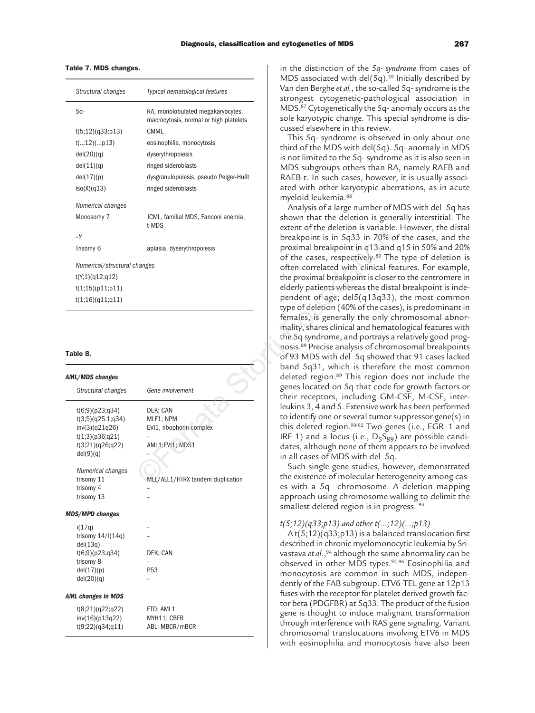### **Table 7. MDS changes.**

| Structural changes           | Typical hematological features                                              |
|------------------------------|-----------------------------------------------------------------------------|
| 5a-                          | RA, monolobulated megakaryocytes,<br>macrocytosis, normal or high platelets |
| t(5;12)(q33;p13)             | <b>CMML</b>                                                                 |
| t(;12)(;p13)                 | eosinophilia, monocytosis                                                   |
| del(20)(q)                   | dyserythropoiesis                                                           |
| del(11)(q)                   | ringed sideroblasts                                                         |
| del(17)(p)                   | dysgranulopoiesis, pseudo Pelger-Huët                                       |
| iso(X)(q13)                  | ringed sideroblasts                                                         |
| Numerical changes            |                                                                             |
| Monosomy 7                   | JCML, familial MDS, Fanconi anemia,<br>t-MDS                                |
| $-Y$                         |                                                                             |
| Trisomy 6                    | aplasia, dyserythropoiesis                                                  |
| Numerical/structural changes |                                                                             |
| t(Y;1)(q12;q12)              |                                                                             |
| t(1;15)(p11;p11)             |                                                                             |
| t(1;16)(q11;q11)             |                                                                             |

### **Table 8.**

| <b>AML/MDS changes</b>    |                                  |
|---------------------------|----------------------------------|
| Structural changes        | Gene involvement                 |
| t(6;9)(p23;q34)           | DEK: CAN                         |
| t(3;5)(q25.1;q34)         | MLF1; NPM                        |
| inv(3)(q21q26)            | EVI1, ribophorin complex         |
| t(1;3)(p36;q21)           |                                  |
| t(3;21)(q26;q22)          | AML1;EVI1; MDS1                  |
| del(9)(q)                 |                                  |
|                           |                                  |
| Numerical changes         |                                  |
| trisomy 11                | MLL/ALL1/HTRX tandem duplication |
| trisomy 4                 |                                  |
| trisomy 13                |                                  |
| <b>MDS/MPD changes</b>    |                                  |
| i(17q)                    |                                  |
| trisomy $14/i(14q)$       |                                  |
| del(13q)                  |                                  |
| t(6;9)(p23;q34)           | DEK; CAN                         |
| trisomy 8                 |                                  |
| del(17)(p)                | P <sub>53</sub>                  |
| del(20)(q)                |                                  |
| <b>AML changes in MDS</b> |                                  |
| t(8;21)(q22;q22)          | ETO; AML1                        |
| inv(16)(p13q22)           | MYH11; CBFB                      |
| t(9;22)(q34;q11)          | ABL; MBCR/mBCR                   |

in the distinction of the *5q- syndrome* from cases of MDS associated with del(5q).<sup>39</sup> Initially described by Van den Berghe *et al.*, the so-called 5q- syndrome is the strongest cytogenetic-pathological association in MDS.87 Cytogenetically the 5q- anomaly occurs as the sole karyotypic change. This special syndrome is discussed elsewhere in this review.

This 5q- syndrome is observed in only about one third of the MDS with del(5q). 5q- anomaly in MDS is not limited to the 5q- syndrome as it is also seen in MDS subgroups others than RA, namely RAEB and RAEB-t. In such cases, however, it is usually associated with other karyotypic aberrations, as in acute myeloid leukemia.88

Analysis of a large number of MDS with del 5q has shown that the deletion is generally interstitial. The extent of the deletion is variable. However, the distal breakpoint is in 5q33 in 70% of the cases, and the proximal breakpoint in q13 and q15 in 50% and 20% of the cases, respectively.<sup>89</sup> The type of deletion is often correlated with clinical features. For example, the proximal breakpoint is closer to the centromere in elderly patients whereas the distal breakpoint is independent of age; del5(q13q33), the most common type of deletion (40% of the cases), is predominant in females, is generally the only chromosomal abnormality, shares clinical and hematological features with the 5q syndrome, and portrays a relatively good prognosis.89 Precise analysis of chromosomal breakpoints of 93 MDS with del 5q showed that 91 cases lacked band 5q31, which is therefore the most common deleted region.89 This region does not include the genes located on 5q that code for growth factors or their receptors, including GM-CSF, M-CSF, interleukins 3, 4 and 5. Extensive work has been performed to identify one or several tumor suppressor gene(s) in this deleted region.90-92 Two genes (i.e., EGR 1 and IRF 1) and a locus (i.e.,  $D_5S_{89}$ ) are possible candidates, although none of them appears to be involved in all cases of MDS with del 5q. aplasia, dyserythropoiesis<br>
breakpoint is in Sq33 in 70%<br>
or the cases, respectively.<sup>8</sup><sup>28</sup> The cases, respectively.<sup>8</sup><br>
of the cromelated with dinical fe<br>
the proximal breakpoint is close<br>
elder(y pacients whereas the di

Such single gene studies, however, demonstrated the existence of molecular heterogeneity among cases with a 5q– chromosome. A deletion mapping approach using chromosome walking to delimit the smallest deleted region is in progress. <sup>93</sup>

# *t(5;12)(q33;p13) and other t(...;12)(...;p13)*

A t( $5;12$ )( $q33; p13$ ) is a balanced translocation first described in chronic myelomonocytic leukemia by Srivastava *et al*.,<sup>94</sup> although the same abnormality can be observed in other MDS types.<sup>95,96</sup> Eosinophilia and monocytosis are common in such MDS, independently of the FAB subgroup. ETV6-TEL gene at 12p13 fuses with the receptor for platelet derived growth factor beta (PDGFBR) at 5q33. The product of the fusion gene is thought to induce malignant transformation through interference with RAS gene signaling. Variant chromosomal translocations involving ETV6 in MDS with eosinophilia and monocytosis have also been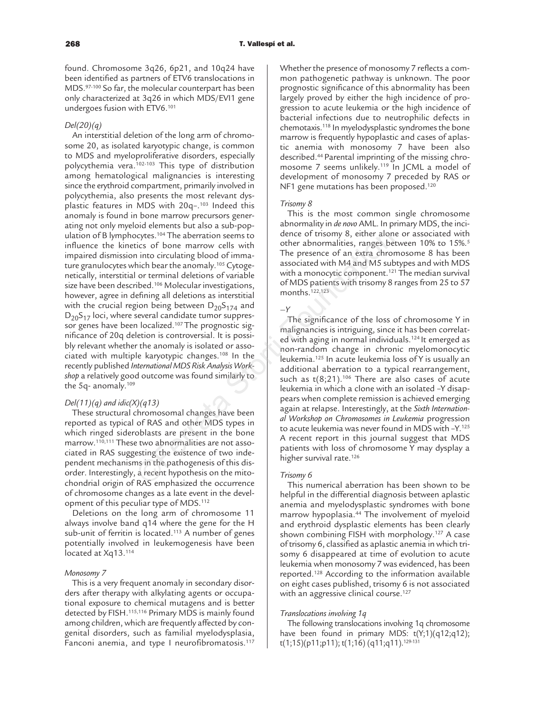found. Chromosome 3q26, 6p21, and 10q24 have been identified as partners of ETV6 translocations in MDS.97-100 So far, the molecular counterpart has been only characterized at 3q26 in which MDS/EVI1 gene undergoes fusion with ETV6.101

# *Del(20)(q)*

An interstitial deletion of the long arm of chromosome 20, as isolated karyotypic change, is common to MDS and myeloproliferative disorders, especially polycythemia vera.102-103 This type of distribution among hematological malignancies is interesting since the erythroid compartment, primarily involved in polycythemia, also presents the most relevant dysplastic features in MDS with 20q-.<sup>103</sup> Indeed this anomaly is found in bone marrow precursors generating not only myeloid elements but also a sub-population of B lymphocytes.<sup>104</sup> The aberration seems to influence the kinetics of bone marrow cells with impaired dismission into circulating blood of immature granulocytes which bear the anomaly.105 Cytogenetically, interstitial or terminal deletions of variable size have been described.<sup>106</sup> Molecular investigations, however, agree in defining all deletions as interstitial with the crucial region being between  $D_{20}S_{174}$  and  $D_{20}S_{17}$  loci, where several candidate tumor suppressor genes have been localized.107 The prognostic significance of 20q deletion is controversial. It is possibly relevant whether the anomaly is isolated or associated with multiple karyotypic changes.108 In the recently published *International MDS Risk Analysis Workshop* a relatively good outcome was found similarly to the 5q- anomaly.109 scytes.<sup>104</sup> The aberration seems to<br>
into circulating blood of imma-<br>
into hear the nonmalities, ranges been<br>
into hear the anomaly.<sup>103</sup> Cytoge-<br>
into hear the anomaly.<sup>103</sup> Cytoge-<br>
into the associated with M4 and M5 s

# *Del(11)(q) and idic(X)(q13)*

These structural chromosomal changes have been reported as typical of RAS and other MDS types in which ringed sideroblasts are present in the bone marrow.110,111 These two abnormalities are not associated in RAS suggesting the existence of two independent mechanisms in the pathogenesis of this disorder. Interestingly, a recent hypothesis on the mitochondrial origin of RAS emphasized the occurrence of chromosome changes as a late event in the development of this peculiar type of MDS.112

Deletions on the long arm of chromosome 11 always involve band q14 where the gene for the H sub-unit of ferritin is located.113 A number of genes potentially involved in leukemogenesis have been located at Xq13.<sup>114</sup>

### *Monosomy 7*

This is a very frequent anomaly in secondary disorders after therapy with alkylating agents or occupational exposure to chemical mutagens and is better detected by FISH.115,116 Primary MDS is mainly found among children, which are frequently affected by congenital disorders, such as familial myelodysplasia, Fanconi anemia, and type I neurofibromatosis.<sup>117</sup>

Whether the presence of monosomy 7 reflects a common pathogenetic pathway is unknown. The poor prognostic significance of this abnormality has been largely proved by either the high incidence of progression to acute leukemia or the high incidence of bacterial infections due to neutrophilic defects in chemotaxis.118 In myelodysplastic syndromes the bone marrow is frequently hypoplastic and cases of aplastic anemia with monosomy 7 have been also described.44 Parental imprinting of the missing chromosome 7 seems unlikely.119 In JCML a model of development of monosomy 7 preceded by RAS or NF1 gene mutations has been proposed.<sup>120</sup>

### *Trisomy 8*

This is the most common single chromosome abnormality in *de novo* AML. In primary MDS, the incidence of trisomy 8, either alone or associated with other abnormalities, ranges between 10% to 15%.5 The presence of an extra chromosome 8 has been associated with M4 and M5 subtypes and with MDS with a monocytic component.<sup>121</sup> The median survival of MDS patients with trisomy 8 ranges from 25 to 57 months.122,123

### *–Y*

The significance of the loss of chromosome Y in malignancies is intriguing, since it has been correlated with aging in normal individuals.124 It emerged as non-random change in chronic myelomonocytic leukemia.125 In acute leukemia loss of Y is usually an additional aberration to a typical rearrangement, such as  $t(8;21)$ .<sup>106</sup> There are also cases of acute leukemia in which a clone with an isolated –Y disappears when complete remission is achieved emerging again at relapse. Interestingly, at the *Sixth International Workshop on Chromosomes in Leukemia* progression to acute leukemia was never found in MDS with –Y.125 A recent report in this journal suggest that MDS patients with loss of chromosome Y may dysplay a higher survival rate.<sup>126</sup>

### *Trisomy 6*

This numerical aberration has been shown to be helpful in the differential diagnosis between aplastic anemia and myelodysplastic syndromes with bone marrow hypoplasia.44 The involvement of myeloid and erythroid dysplastic elements has been clearly shown combining FISH with morphology.127 A case of trisomy 6, classified as aplastic anemia in which trisomy 6 disappeared at time of evolution to acute leukemia when monosomy 7 was evidenced, has been reported.128 According to the information available on eight cases published, trisomy 6 is not associated with an aggressive clinical course.<sup>127</sup>

### *Translocations involving 1q*

The following translocations involving 1q chromosome have been found in primary MDS:  $t(Y;1)(q12;q12)$ ; t(1;15)(p11;p11); t(1;16) (q11;q11).129-131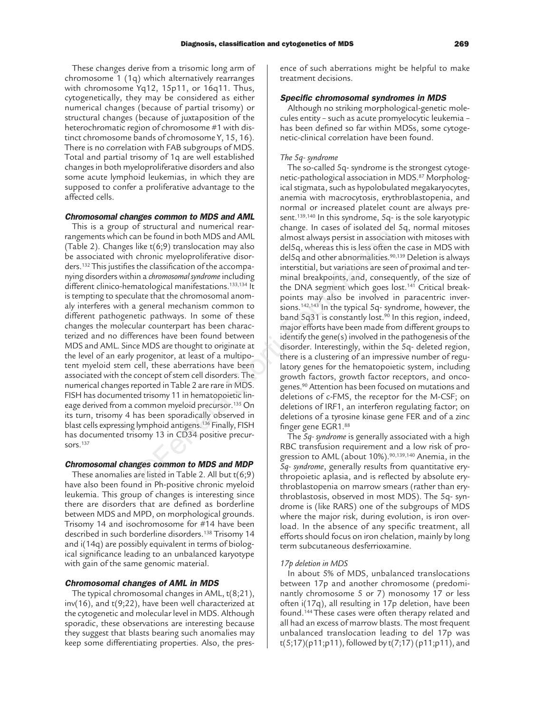These changes derive from a trisomic long arm of chromosome 1 (1q) which alternatively rearranges with chromosome Yq12, 15p11, or 16q11. Thus, cytogenetically, they may be considered as either numerical changes (because of partial trisomy) or structural changes (because of juxtaposition of the heterochromatic region of chromosome #1 with distinct chromosome bands of chromosome Y, 15, 16). There is no correlation with FAB subgroups of MDS. Total and partial trisomy of 1q are well established changes in both myeloproliferative disorders and also some acute lymphoid leukemias, in which they are supposed to confer a proliferative advantage to the affected cells.

# **Chromosomal changes common to MDS and AML**

This is a group of structural and numerical rearrangements which can be found in both MDS and AML (Table 2). Changes like t(6;9) translocation may also be associated with chronic myeloproliferative disorders.132 This justifies the classification of the accompanying disorders within a *chromosomal syndrome*including different clinico-hematological manifestations.<sup>133,134</sup> It is tempting to speculate that the chromosomal anomaly interferes with a general mechanism common to different pathogenetic pathways. In some of these changes the molecular counterpart has been characterized and no differences have been found between MDS and AML. Since MDS are thought to originate at the level of an early progenitor, at least of a multipotent myeloid stem cell, these aberrations have been associated with the concept of stem cell disorders. The numerical changes reported in Table 2 are rare in MDS. FISH has documented trisomy 11 in hematopoietic lineage derived from a common myeloid precursor.135 On its turn, trisomy 4 has been sporadically observed in blast cells expressing lymphoid antigens.136 Finally, FISH has documented trisomy 13 in CD34 positive precursors.137 an be found in both MDS and AML<br>
lalmost always persist in associat<br>
like (6;9) translocation may also<br>
delso, whereas this is less often<br>
chronic myelopolic<br>Frative distance in determonentalise.<sup>87</sup><br>
the classification o

# **Chromosomal changes common to MDS and MDP**

These anomalies are listed in Table 2. All but t(6;9) have also been found in Ph-positive chronic myeloid leukemia. This group of changes is interesting since there are disorders that are defined as borderline between MDS and MPD, on morphological grounds. Trisomy 14 and isochromosome for #14 have been described in such borderline disorders.138 Trisomy 14 and i(14q) are possibly equivalent in terms of biological significance leading to an unbalanced karyotype with gain of the same genomic material.

### **Chromosomal changes of AML in MDS**

The typical chromosomal changes in AML, t(8;21), inv(16), and t(9;22), have been well characterized at the cytogenetic and molecular level in MDS. Although sporadic, these observations are interesting because they suggest that blasts bearing such anomalies may keep some differentiating properties. Also, the presence of such aberrations might be helpful to make treatment decisions.

### **Specific chromosomal syndromes in MDS**

Although no striking morphological-genetic molecules entity – such as acute promyelocytic leukemia – has been defined so far within MDSs, some cytogenetic-clinical correlation have been found.

# *The 5q- syndrome*

The so-called 5q- syndrome is the strongest cytogenetic-pathological association in MDS.87 Morphological stigmata, such as hypolobulated megakaryocytes, anemia with macrocytosis, erythroblastopenia, and normal or increased platelet count are always present.139,140 In this syndrome, 5q- is the sole karyotypic change. In cases of isolated del 5q, normal mitoses almost always persist in association with mitoses with del5q, whereas this is less often the case in MDS with del5q and other abnormalities.<sup>90,139</sup> Deletion is always interstitial, but variations are seen of proximal and terminal breakpoints, and, consequently, of the size of the DNA segment which goes lost.141 Critical breakpoints may also be involved in paracentric inversions.142,143 In the typical 5q- syndrome, however, the band 5q31 is constantly lost.<sup>90</sup> In this region, indeed, major efforts have been made from different groups to identify the gene(s) involved in the pathogenesis of the disorder. Interestingly, within the 5q- deleted region, there is a clustering of an impressive number of regulatory genes for the hematopoietic system, including growth factors, growth factor receptors, and oncogenes.90 Attention has been focused on mutations and deletions of c-FMS, the receptor for the M-CSF; on deletions of IRF1, an interferon regulating factor; on deletions of a tyrosine kinase gene FER and of a zinc finger gene EGR1.88

The *5q- syndrome* is generally associated with a high RBC transfusion requirement and a low risk of progression to AML (about 10%).<sup>90,139,140</sup> Anemia, in the *5q- syndrome*, generally results from quantitative erythropoietic aplasia, and is reflected by absolute erythroblastopenia on marrow smears (rather than erythroblastosis, observed in most MDS). The 5q- syndrome is (like RARS) one of the subgroups of MDS where the major risk, during evolution, is iron overload. In the absence of any specific treatment, all efforts should focus on iron chelation, mainly by long term subcutaneous desferrioxamine.

### *17p deletion in MDS*

In about 5% of MDS, unbalanced translocations between 17p and another chromosome (predominantly chromosome 5 or 7) monosomy 17 or less often i(17q), all resulting in 17p deletion, have been found.144 These cases were often therapy related and all had an excess of marrow blasts. The most frequent unbalanced translocation leading to del 17p was  $t(5;17)(p11;p11)$ , followed by  $t(7;17)(p11;p11)$ , and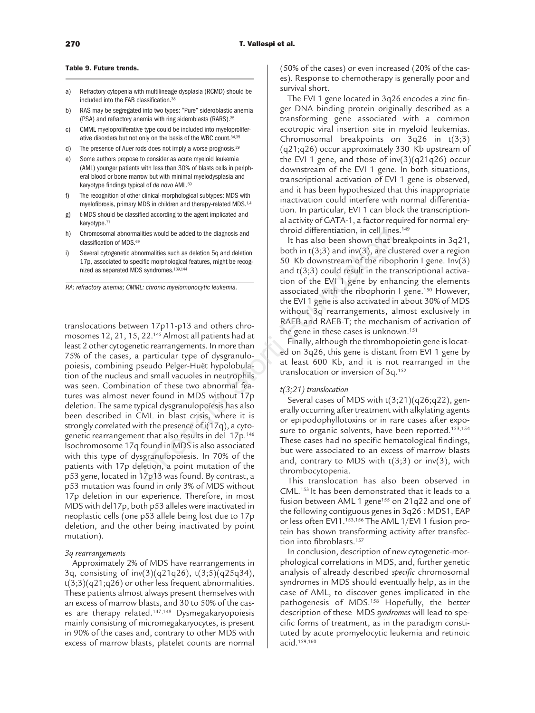### **Table 9. Future trends.**

- a) Refractory cytopenia with multilineage dysplasia (RCMD) should be included into the FAB classification.38
- b) RAS may be segregated into two types: "Pure" sideroblastic anemia (PSA) and refractory anemia with ring sideroblasts (RARS).25
- c) CMML myeloproliferative type could be included into myeloproliferative disorders but not only on the basis of the WBC count.34,35
- d) The presence of Auer rods does not imply a worse prognosis.29
- e) Some authors propose to consider as acute myeloid leukemia (AML) younger patients with less than 30% of blasts cells in peripheral blood or bone marrow but with minimal myelodysplasia and karyotype findings typical of *de novo* AML.69
- f) The recognition of other clinical-morphological subtypes: MDS with myelofibrosis, primary MDS in children and therapy-related MDS.1,4
- g) t-MDS should be classified according to the agent implicated and karyotype.<sup>77</sup>
- h) Chromosomal abnormalities would be added to the diagnosis and classification of MDS.<sup>69</sup>
- i) Several cytogenetic abnormalities such as deletion 5q and deletion 17p, associated to specific morphological features, might be recognized as separated MDS syndromes.139,144

*RA: refractory anemia; CMML: chronic myelomonocytic leukemia.*

translocations between 17p11-p13 and others chromosomes 12, 21, 15, 22.145 Almost all patients had at least 2 other cytogenetic rearrangements. In more than 75% of the cases, a particular type of dysgranulopoiesis, combining pseudo Pelger-Huët hypolobulation of the nucleus and small vacuoles in neutrophils was seen. Combination of these two abnormal features was almost never found in MDS without 17p deletion. The same typical dysgranulopoïesis has also been described in CML in blast crisis, where it is strongly correlated with the presence of i(17q), a cytogenetic rearrangement that also results in del 17p.146 Isochromosome 17q found in MDS is also associated with this type of dysgranulopoiesis. In 70% of the patients with 17p deletion, a point mutation of the p53 gene, located in 17p13 was found. By contrast, a p53 mutation was found in only 3% of MDS without 17p deletion in our experience. Therefore, in most MDS with del17p, both p53 alleles were inactivated in neoplastic cells (one p53 allele being lost due to 17p deletion, and the other being inactivated by point mutation). alities would be added to the diagnosis and<br>
<sup>es</sup><br>
<sup>es</sup><br>
bommalities such as deletion 5q and deletion<br>
both in (3;3) and inv(3), are cl<br>
DS syndromes.<sup>139,144</sup><br>
ML: chronic myelomonocytic leukemia.<br>
ML: chronic myelomonocy

### *3q rearrangements*

Approximately 2% of MDS have rearrangements in 3q, consisting of inv(3)(q21q26), t(3;5)(q25q34),  $t(3;3)(q21;q26)$  or other less frequent abnormalities. These patients almost always present themselves with an excess of marrow blasts, and 30 to 50% of the cases are therapy related.147,148 Dysmegakaryopoiesis mainly consisting of micromegakaryocytes, is present in 90% of the cases and, contrary to other MDS with excess of marrow blasts, platelet counts are normal

(50% of the cases) or even increased (20% of the cases). Response to chemotherapy is generally poor and survival short.

The EVI 1 gene located in 3q26 encodes a zinc finger DNA binding protein originally described as a transforming gene associated with a common ecotropic viral insertion site in myeloid leukemias. Chromosomal breakpoints on 3q26 in t(3;3) (q21;q26) occur approximately 330 Kb upstream of the EVI 1 gene, and those of  $inv(3)(q21q26)$  occur downstream of the EVI 1 gene. In both situations, transcriptional activation of EVI 1 gene is observed, and it has been hypothesized that this inappropriate inactivation could interfere with normal differentiation. In particular, EVI 1 can block the transcriptional activity of GATA-1, a factor required for normal erythroid differentiation, in cell lines.149

It has also been shown that breakpoints in 3q21, both in  $t(3;3)$  and inv(3), are clustered over a region 50 Kb downstream of the ribophorin I gene. Inv(3) and t(3;3) could result in the transcriptional activation of the EVI 1 gene by enhancing the elements associated with the ribophorin I gene.<sup>150</sup> However, the EVI 1 gene is also activated in about 30% of MDS without 3q rearrangements, almost exclusively in RAEB and RAEB-T; the mechanism of activation of the gene in these cases is unknown.<sup>151</sup>

Finally, although the thrombopoietin gene is located on 3q26, this gene is distant from EVI 1 gene by at least 600 Kb, and it is not rearranged in the translocation or inversion of 3q.152

# *t(3;21) translocation*

Several cases of MDS with t(3;21)(q26;q22), generally occurring after treatment with alkylating agents or epipodophyllotoxins or in rare cases after exposure to organic solvents, have been reported.<sup>153,154</sup> These cases had no specific hematological findings, but were associated to an excess of marrow blasts and, contrary to MDS with  $t(3;3)$  or  $inv(3)$ , with thrombocytopenia.

This translocation has also been observed in CML.153 It has been demonstrated that it leads to a fusion between AML 1 gene<sup>155</sup> on 21q22 and one of the following contiguous genes in 3q26 : MDS1, EAP or less often EVI1.153,156 The AML 1/EVI 1 fusion protein has shown transforming activity after transfection into fibroblasts.<sup>157</sup>

In conclusion, description of new cytogenetic-morphological correlations in MDS, and, further genetic analysis of already described *specific* chromosomal syndromes in MDS should eventually help, as in the case of AML, to discover genes implicated in the pathogenesis of MDS.158 Hopefully, the better description of these MDS *syndromes* will lead to specific forms of treatment, as in the paradigm constituted by acute promyelocytic leukemia and retinoic acid.159,160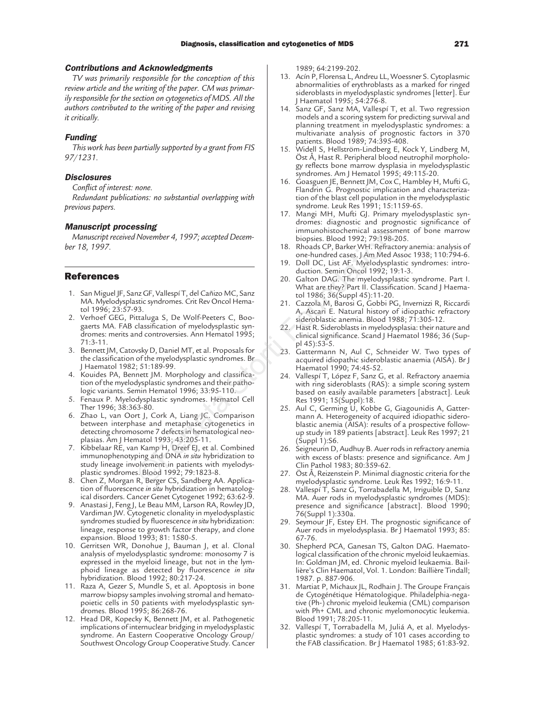# **Contributions and Acknowledgments**

*TV was primarily responsible for the conception of this review article and the writing of the paper. CM was primarily responsible for the section on cytogenetics of MDS. All the authors contributed to the writing of the paper and revising it critically.*

### **Funding**

*This work has been partially supported by a grant from FIS 97/1231.*

### **Disclosures**

*Conflict of interest: none.*

*Redundant publications: no substantial overlapping with previous papers.*

### **Manuscript processing**

*Manuscript received November 4, 1997; accepted December 18, 1997.*

# **References**

- 1. San Miguel JF, Sanz GF, Vallespí T, del Cañizo MC, Sanz MA. Myelodysplastic syndromes. Crit Rev Oncol Hematol 1996; 23:57-93.
- 2. Verhoef GEG, Pittaluga S, De Wolf-Peeters C, Boogaerts MA. FAB classification of myelodysplastic syndromes: merits and controversies. Ann Hematol 1995; 71:3-11.
- 3. Bennett JM, Catovsky D, Daniel MT, et al. Proposals for the classification of the myelodysplastic syndromes. Br J Haematol 1982; 51:189-99.
- 4. Kouides PA, Bennett JM. Morphology and classification of the myelodysplastic syndromes and their pathologic variants. Semin Hematol 1996; 33:95-110.
- 5. Fenaux P. Myelodysplastic syndromes. Hematol Cell Ther 1996; 38:363-80.
- 6. Zhao L, van Oort J, Cork A, Liang JC. Comparison between interphase and metaphase cytogenetics in detecting chromosome 7 defects in hematological neoplasias. Am J Hematol 1993; 43:205-11.
- 7. Kibbelaar RE, van Kamp H, Dreef EJ, et al. Combined immunophenotyping and DNA *in situ* hybridization to study lineage involvement in patients with myelodysplastic syndromes. Blood 1992; 79:1823-8.
- 8. Chen Z, Morgan R, Berger CS, Sandberg AA. Application of fluorescence *in situ* hybridization in hematological disorders. Cancer Genet Cytogenet 1992; 63:62-9.
- 9. Anastasi J, Feng J, Le Beau MM, Larson RA, Rowley JD, Vardiman JW. Cytogenetic clonality in myelodysplastic syndromes studied by fluorescence *in situ* hybridization: lineage, response to growth factor therapy, and clone expansion. Blood 1993; 81: 1580-5.
- 10. Gerritsen WR, Donohue J, Bauman J, et al. Clonal analysis of myelodysplastic syndrome: monosomy 7 is expressed in the myeloid lineage, but not in the lymphoid lineage as detected by fluorescence *in situ* hybridization. Blood 1992; 80:217-24.
- 11. Raza A, Gezer S, Mundle S, et al. Apoptosis in bone marrow biopsy samples involving stromal and hematopoietic cells in 50 patients with myelodysplastic syndromes. Blood 1995; 86:268-76.
- 12. Head DR, Kopecky K, Bennett JM, et al. Pathogenetic implications of internuclear bridging in myelodysplastic syndrome. An Eastern Cooperative Oncology Group/ Southwest Oncology Group Cooperative Study. Cancer

1989; 64:2199-202.

- 13. Acín P, Florensa L, Andreu LL, Woessner S. Cytoplasmic abnormalities of erythroblasts as a marked for ringed sideroblasts in myelodysplastic syndromes [letter]. Eur J Haematol 1995; 54:276-8.
- 14. Sanz GF, Sanz MA, Vallespí T, et al. Two regression models and a scoring system for predicting survival and planning treatment in myelodysplastic syndromes: a multivariate analysis of prognostic factors in 370 patients. Blood 1989; 74:395-408.
- 15. Widell S, Hellström-Lindberg E, Kock Y, Lindberg M, Öst Å, Hast R. Peripheral blood neutrophil morphology reflects bone marrow dysplasia in myelodysplastic syndromes. Am J Hematol 1995; 49:115-20.
- 16. Goasguen JE, Bennett JM, Cox C, Hambley H, Mufti G, Flandrin G. Prognostic implication and characterization of the blast cell population in the myelodysplastic syndrome. Leuk Res 1991; 15:1159-65.
- 17. Mangi MH, Mufti GJ. Primary myelodysplastic syndromes: diagnostic and prognostic significance of immunohistochemical assessment of bone marrow biopsies. Blood 1992; 79:198-205.
- 18. Rhoads CP, Barker WH. Refractory anemia: analysis of one-hundred cases. J Am Med Assoc 1938; 110:794-6.
- 19. Doll DC, List AF. Myelodysplastic syndromes: introduction. Semin Oncol 1992; 19:1-3.
- 20. Galton DAG. The myelodysplastic syndrome. Part I. What are they? Part II. Classification. Scand J Haematol 1986; 36(Suppl 45):11-20.
- 21. Cazzola M, Barosi G, Gobbi PG, Invernizzi R, Riccardi A, Ascari E. Natural history of idiopathic refractory sideroblastic anemia. Blood 1988; 71:305-12.
- 22. Hast R. Sideroblasts in myelodysplasia: their nature and clinical significance. Scand J Haematol 1986; 36 (Suppl 45):53-5.
- 23. Gattermann N, Aul C, Schneider W. Two types of acquired idiopathic sideroblastic anaemia (AISA). Br J Haematol 1990; 74:45-52.
- 24. Vallespí T, López F, Sanz G, et al. Refractory anaemia with ring sideroblasts (RAS): a simple scoring system based on easily available parameters [abstract]. Leuk Res 1991; 15(Suppl):18.
- 25. Aul C, Germing U, Kobbe G, Giagounidis A, Gattermann A. Heterogeneity of acquired idiopathic sideroblastic anemia (AISA): results of a prospective followup study in 189 patients [abstract]. Leuk Res 1997; 21 (Suppl 1):S6. Volumenter 4, 1997; accepted Decem-<br>
Inopsises. Blood 1992; 79:198-<br>
ISON 1992; 79:198-<br>
ISON 1992; 79:198-<br>
ISON 1992; 79:198-<br>
ISON COLLECTION CONCLECTION CONCLECTION CONCLECTION CONCLECTION CONCLECTION CONCLECTION CONCL
	- 26. Seigneurin D, Audhuy B. Auer rods in refractory anemia with excess of blasts: presence and significance. Am J Clin Pathol 1983; 80:359-62.
	- 27. Öst Å, Reizenstein P. Minimal diagnostic criteria for the myelodysplastic syndrome. Leuk Res 1992; 16:9-11.
	- 28. Vallespí T, Sanz G, Torrabadella M, Irriguible D, Sanz MA. Auer rods in myelodysplastic syndromes (MDS): presence and significance [abstract]. Blood 1990; 76(Suppl 1):330a.
	- 29. Seymour JF, Estey EH. The prognostic significance of Auer rods in myelodysplasia. Br J Haematol 1993; 85: 67-76.
	- 30. Shepherd PCA, Ganesan TS, Galton DAG. Haematological classification of the chronic myeloid leukaemias. In: Goldman JM, ed. Chronic myeloid leukaemia. Baillière's Clin Haematol, Vol. 1. London: Baillière Tindall; 1987. p. 887-906.
	- 31. Martiat P, Michaux JL, Rodhain J. The Groupe Français de Cytogénétique Hématologique. Philadelphia-negative (Ph-) chronic myeloid leukemia (CML) comparison with Ph+ CML and chronic myelomonocytic leukemia. Blood 1991; 78:205-11.
	- 32. Vallespí T, Torrabadella M, Juliá A, et al. Myelodysplastic syndromes: a study of 101 cases according to the FAB classification. Br J Haematol 1985; 61:83-92.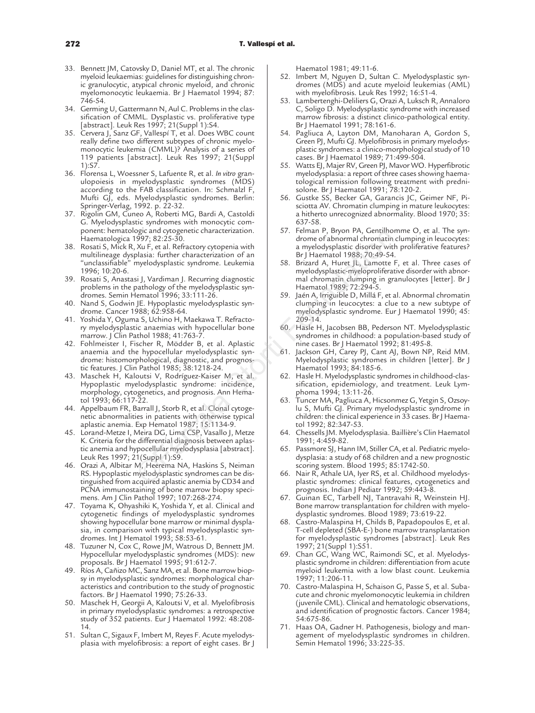- 33. Bennett JM, Catovsky D, Daniel MT, et al. The chronic myeloid leukaemias: guidelines for distinguishing chronic granulocytic, atypical chronic myeloid, and chronic myelomonocytic leukaemia. Br J Haematol 1994; 87: 746-54.
- 34. Germing U, Gattermann N, Aul C. Problems in the classification of CMML. Dysplastic vs. proliferative type [abstract]. Leuk Res 1997; 21(Suppl 1):S4.
- 35. Cervera J, Sanz GF, Vallespí T, et al. Does WBC count really define two different subtypes of chronic myelomonocytic leukemia (CMML)? Analysis of a series of 119 patients [abstract]. Leuk Res 1997; 21(Suppl 1):S7.
- 36. Florensa L, Woessner S, Lafuente R, et al. *In vitro* granulopoiesis in myelodysplastic syndromes (MDS) according to the FAB classification. In: Schmalzl F, Mufti GJ, eds. Myelodysplastic syndromes. Berlin: Springer-Verlag, 1992. p. 22-32.
- 37. Rigolin GM, Cuneo A, Roberti MG, Bardi A, Castoldi G. Myelodysplastic syndromes with monocytic component: hematologic and cytogenetic characterization. Haematologica 1997; 82:25-30.
- 38. Rosati S, Mick R, Xu F, et al. Refractory cytopenia with multilineage dysplasia: further characterization of an "unclassifiable" myelodysplastic syndrome. Leukemia 1996; 10:20-6.
- 39. Rosati S, Anastasi J, Vardiman J. Recurring diagnostic problems in the pathology of the myelodysplastic syndromes. Semin Hematol 1996; 33:111-26.
- 40. Nand S, Godwin JE. Hypoplastic myelodysplastic syndrome. Cancer 1988; 62:958-64.
- 41. Yoshida Y, Oguma S, Uchino H, Maekawa T. Refractory myelodysplastic anaemias with hypocellular bone marrow. J Clin Pathol 1988; 41:763-7.
- 42. Fohlmeister I, Fischer R, Mödder B, et al. Aplastic anaemia and the hypocellular myelodysplastic syndrome: histomorphological, diagnostic, and prognostic features. J Clin Pathol 1985; 38:1218-24.
- 43. Maschek H, Kaloutsi V, Rodríguez-Kaiser M, et al. Hypoplastic myelodysplastic syndrome: incidence, morphology, cytogenetics, and prognosis. Ann Hematol 1993; 66:117-22. ogle and orongo the metallar bare and orongo and orongo and orongo and orongo and orongo and orongo and orongo and orongo and a metaloogle of the metallar store is a Refractory otypoplastic strong tensor of the metallar in
- 44. Appelbaum FR, Barrall J, Storb R, et al. Clonal cytogenetic abnormalities in patients with otherwise typical aplastic anemia. Exp Hematol 1987; 15:1134-9.
- 45. Lorand-Metze I, Meira DG, Lima CSP, Vasallo J, Metze K. Criteria for the differential diagnosis between aplastic anemia and hypocellular myelodysplasia [abstract]. Leuk Res 1997; 21(Suppl 1):S9.
- 46. Orazi A, Albitar M, Heerema NA, Haskins S, Neiman RS. Hypoplastic myelodysplastic syndromes can be distinguished from acquired aplastic anemia by CD34 and PCNA immunostaining of bone marrow biopsy specimens. Am J Clin Pathol 1997; 107:268-274.
- 47. Toyama K, Ohyashiki K, Yoshida Y, et al. Clinical and cytogenetic findings of myelodysplastic syndromes showing hypocellular bone marrow or minimal dysplasia, in comparison with typical myelodysplastic syndromes. Int J Hematol 1993; 58:53-61.
- 48. Tuzuner N, Cox C, Rowe JM, Watrous D, Bennett JM. Hypocellular myelodysplastic syndromes (MDS): new proposals. Br J Haematol 1995; 91:612-7.
- 49. Ríos A, Cañizo MC, Sanz MA, et al. Bone marrow biopsy in myelodysplastic syndromes: morphological characteristics and contribution to the study of prognostic factors. Br J Haematol 1990; 75:26-33.
- 50. Maschek H, Georgii A, Kaloutsi V, et al. Myelofibrosis in primary myelodysplastic syndromes: a retrospective study of 352 patients. Eur J Haematol 1992: 48:208- 14.
- 51. Sultan C, Sigaux F, Imbert M, Reyes F. Acute myelodysplasia with myelofibrosis: a report of eight cases. Br J

Haematol 1981; 49:11-6.

- 52. Imbert M, Nguyen D, Sultan C. Myelodysplastic syndromes (MDS) and acute myeloid leukemias (AML) with myelofibrosis. Leuk Res 1992: 16:51-4.
- 53. Lambertenghi-Deliliers G, Orazi A, Luksch R, Annaloro C, Soligo D. Myelodysplastic syndrome with increased marrow fibrosis: a distinct clinico-pathological entity. Br J Haematol 1991; 78:161-6.
- 54. Pagliuca A, Layton DM, Manoharan A, Gordon S, Green PJ, Mufti GJ. Myelofibrosis in primary myelodysplastic syndromes: a clinico-morphological study of 10 cases. Br J Haematol 1989; 71:499-504.
- 55. Watts EJ, Majer RV, Green PJ, Mavor WO. Hyperfibrotic myelodysplasia: a report of three cases showing haematological remission following treatment with prednisolone. Br J Haematol 1991; 78:120-2.
- 56. Gustke SS, Becker GA, Garancis JC, Geimer NF, Pisciotta AV. Chromatin clumping in mature leukocytes: a hitherto unrecognized abnormality. Blood 1970; 35: 637-58.
- 57. Felman P, Bryon PA, Gentilhomme O, et al. The syndrome of abnormal chromatin clumping in leucocytes: a myelodysplastic disorder with proliferative features? Br J Haematol 1988; 70:49-54.
- 58. Brizard A, Huret JL, Lamotte F, et al. Three cases of myelodysplastic-myeloproliferative disorder with abnormal chromatin clumping in granulocytes [letter]. Br J Haematol 1989; 72:294-5.
- 59. Jaén A, Irriguible D, Millá F, et al. Abnormal chromatin clumping in leucocytes: a clue to a new subtype of myelodysplastic syndrome. Eur J Haematol 1990; 45: 209-14.
- 60. Hasle H, Jacobsen BB, Pederson NT. Myelodysplastic syndromes in childhood: a population-based study of nine cases. Br J Haematol 1992; 81:495-8.
- 61. Jackson GH, Carey PJ, Cant AJ, Bown NP, Reid MM. Myelodysplastic syndromes in children [letter]. Br J Haematol 1993; 84:185-6.
- 62. Hasle H. Myelodysplastic syndromes in childhood-classification, epidemiology, and treatment. Leuk Lymphoma 1994; 13:11-26.
- 63. Tuncer MA, Pagliuca A, Hicsonmez G, Yetgin S, Ozsoylu S, Mufti GJ. Primary myelodysplastic syndrome in children: the clinical experience in 33 cases. Br J Haematol 1992; 82:347-53.
- 64. Chessells JM. Myelodysplasia. Baillière's Clin Haematol 1991; 4:459-82.
- 65. Passmore SJ, Hann IM, Stiller CA, et al. Pediatric myelodysplasia: a study of 68 children and a new prognostic scoring system. Blood 1995; 85:1742-50.
- 66. Nair R, Athale UA, Iyer RS, et al. Childhood myelodysplastic syndromes: clinical features, cytogenetics and prognosis. Indian J Pediatr 1992; 59:443-8.
- 67. Guinan EC, Tarbell NJ, Tantravahi R, Weinstein HJ. Bone marrow transplantation for children with myelodysplastic syndromes. Blood 1989; 73:619-22.
- 68. Castro-Malaspina H, Childs B, Papadopoulos E, et al. T-cell depleted (SBA-E-) bone marrow transplantation for myelodysplastic syndromes [abstract]. Leuk Res 1997; 21(Suppl 1):S51.
- 69. Chan GC, Wang WC, Raimondi SC, et al. Myelodysplastic syndrome in children: differentiation from acute myeloid leukemia with a low blast count. Leukemia 1997; 11:206-11.
- 70. Castro-Malaspina H, Schaison G, Passe S, et al. Subacute and chronic myelomonocytic leukemia in children (juvenile CML). Clinical and hematologic observations, and identification of prognostic factors. Cancer 1984; 54:675-86.
- 71. Haas OA, Gadner H. Pathogenesis, biology and management of myelodysplastic syndromes in children. Semin Hematol 1996; 33:225-35.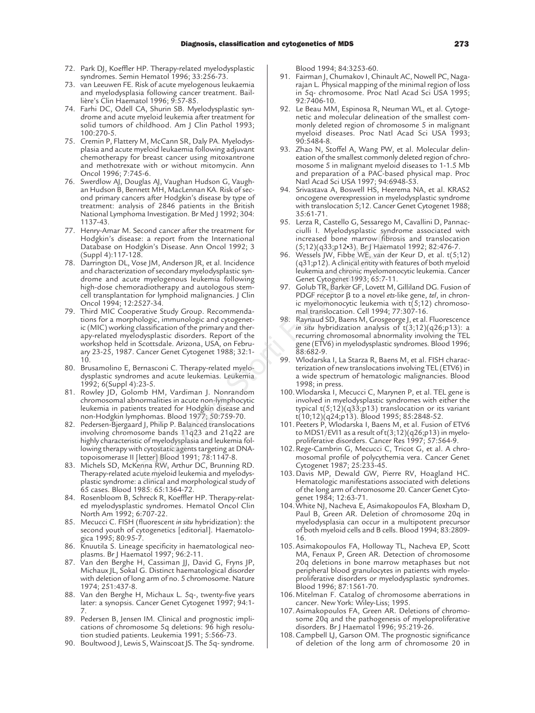- 72. Park DJ, Koeffler HP. Therapy-related myelodysplastic syndromes. Semin Hematol 1996; 33:256-73.
- 73. van Leeuwen FE. Risk of acute myelogenous leukaemia and myelodysplasia following cancer treatment. Baillière's Clin Haematol 1996; 9:57-85.
- 74. Farhi DC, Odell CA, Shurin SB. Myelodysplastic syndrome and acute myeloid leukemia after treatment for solid tumors of childhood. Am J Clin Pathol 1993; 100:270-5.
- 75. Cremin P, Flattery M, McCann SR, Daly PA. Myelodysplasia and acute myeloid leukaemia following adjuvant chemotherapy for breast cancer using mitoxantrone and methotrexate with or without mitomycin. Ann Oncol 1996; 7:745-6.
- 76. Swerdlow AJ, Douglas AJ, Vaughan Hudson G, Vaughan Hudson B, Bennett MH, MacLennan KA. Risk of second primary cancers after Hodgkin's disease by type of treatment: analysis of 2846 patients in the British National Lymphoma Investigation. Br Med J 1992; 304: 1137-43.
- 77. Henry-Amar M. Second cancer after the treatment for Hodgkin's disease: a report from the International Database on Hodgkin's Disease. Ann Oncol 1992; 3 (Suppl 4):117-128.
- 78. Darrington DL, Vose JM, Anderson JR, et al. Incidence and characterization of secondary myelodysplastic syndrome and acute myelogenous leukemia following high-dose chemoradiotherapy and autologous stemcell transplantation for lymphoid malignancies. J Clin Oncol 1994; 12:2527-34.
- 79. Third MIC Cooperative Study Group. Recommendations for a morphologic, immunologic and cytogenetic (MIC) working classification of the primary and therapy-related myelodysplastic disorders. Report of the workshop held in Scottsdale. Arizona, USA, on February 23-25, 1987. Cancer Genet Cytogenet 1988; 32:1- 10. exame are the treatment in the proposition of an expect on content and microsest are point of the designation of secondary myledolysplatic symphome of the myledolysplatic symphome of the experiment of the myledolysplatic s
- 80. Brusamolino E, Bernasconi C. Therapy-related myelodysplastic syndromes and acute leukemias. Leukemia 1992; 6(Suppl 4):23-5.
- 81. Rowley JD, Golomb HM, Vardiman J. Nonrandom chromosomal abnormalities in acute non-lymphocytic leukemia in patients treated for Hodgkin disease and non-Hodgkin lymphomas. Blood 1977; 50:759-70.
- 82. Pedersen-Bjergaard J, Philip P. Balanced translocations involving chromosome bands 11q23 and 21q22 are highly characteristic of myelodysplasia and leukemia following therapy with cytostatic agents targeting at DNAtopoisomerase II [letter] Blood 1991; 78:1147-8.
- 83. Michels SD, McKenna RW, Arthur DC, Brunning RD. Therapy-related acute myeloid leukemia and myelodysplastic syndrome: a clinical and morphological study of 65 cases. Blood 1985: 65:1364-72.
- 84. Rosenbloom B, Schreck R, Koeffler HP. Therapy-related myelodysplastic syndromes. Hematol Oncol Clin North Am 1992; 6:707-22.
- 85. Mecucci C. FISH (fluorescent *in situ* hybridization): the second youth of cytogenetics [editorial]. Haematologica 1995; 80:95-7.
- 86. Knuutila S. Lineage specificity in haematological neoplasms. Br J Haematol 1997; 96:2-11.
- 87. Van den Berghe H, Cassiman JJ, David G, Fryns JP, Michaux JL, Sokal G. Distinct haematological disorder with deletion of long arm of no. 5 chromosome. Nature 1974; 251:437-8.
- 88. Van den Berghe H, Michaux L. 5q-, twenty-five years later: a synopsis. Cancer Genet Cytogenet 1997; 94:1- 7.
- 89. Pedersen B, Jensen IM. Clinical and prognostic implications of chromosome 5q deletions: 96 high resolution studied patients. Leukemia 1991; 5:566-73.
- 90. Boultwood J, Lewis S, Wainscoat JS. The 5q- syndrome.

Blood 1994; 84:3253-60.

- 91. Fairman I, Chumakov I, Chinault AC, Nowell PC, Nagarajan L. Physical mapping of the minimal region of loss in 5q- chromosome. Proc Natl Acad Sci USA 1995; 92:7406-10.
- 92. Le Beau MM, Espinosa R, Neuman WL, et al. Cytogenetic and molecular delineation of the smallest commonly deleted region of chromosome 5 in malignant myeloid diseases. Proc Natl Acad Sci USA 1993; 90:5484-8.
- 93. Zhao N, Stoffel A, Wang PW, et al. Molecular delineation of the smallest commonly deleted region of chromosome 5 in malignant myeloid diseases to 1-1.5 Mb and preparation of a PAC-based physical map. Proc Natl Acad Sci USA 1997; 94:6948-53.
- 94. Srivastava A, Boswell HS, Heerema NA, et al. KRAS2 oncogene overexpression in myelodysplastic syndrome with translocation 5;12. Cancer Genet Cytogenet 1988; 35:61-71.
- 95. Lerza R, Castello G, Sessarego M, Cavallini D, Pannacciulli I. Myelodysplastic syndrome associated with increased bone marrow fibrosis and translocation (5;12)(q33;p12•3). Br J Haematol 1992; 82:476-7.
- 96. Wessels JW, Fibbe WE, van der Keur D, et al. t(5;12) (q31;p12). A clinical entity with features of both myeloid leukemia and chronic myelomonocytic leukemia. Cancer Genet Cytogenet 1993; 65:7-11.
- 97. Golub TR, Barker GF, Lovett M, Gilliland DG. Fusion of PDGF receptor β to a novel ets-like gene, *tel*, in chronic myelomonocytic leukemia with  $t(5;12)$  chromosomal translocation. Cell 1994; 77:307-16.
- 98. Raynaud SD, Baens M, Grosgeorge J, et al. Fluorescence *in situ* hybridization analysis of t(3;12)(q26;p13): a recurring chromosomal abnormality involving the TEL gene (ETV6) in myelodysplastic syndromes. Blood 1996; 88:682-9.
- 99. Wlodarska I, La Starza R, Baens M, et al. FISH characterization of new translocations involving TEL (ETV6) in a wide spectrum of hematologic malignancies. Blood 1998; in press.
- 100.Wlodarska I, Mecucci C, Marynen P, et al. TEL gene is involved in myelodysplastic syndromes with either the typical  $t(5;12)(q33;p13)$  translocation or its variant t(10;12)(q24;p13). Blood 1995; 85:2848-52.
- 101. Peeters P, Wlodarska I, Baens M, et al. Fusion of ETV6 to MDS1/EVI1 as a result of  $t(3;12)(q26;p13)$  in myeloproliferative disorders. Cancer Res 1997; 57:564-9.
- 102. Rege-Cambrin G, Mecucci C, Tricot G, et al. A chromosomal profile of polycythemia vera. Cancer Genet Cytogenet 1987; 25:233-45.
- 103.Davis MP, Dewald GW, Pierre RV, Hoagland HC. Hematologic manifestations associated with deletions of the long arm of chromosome 20. Cancer Genet Cytogenet 1984; 12:63-71.
- 104.White NJ, Nacheva E, Asimakopoulos FA, Bloxham D, Paul B, Green AR. Deletion of chromosome 20q in myelodysplasia can occur in a multipotent precursor of both myeloid cells and B cells. Blood 1994; 83:2809- 16.
- 105.Asimakopoulos FA, Holloway TL, Nacheva EP, Scott MA, Fenaux P, Green AR. Detection of chromosome 20q deletions in bone marrow metaphases but not peripheral blood granulocytes in patients with myeloproliferative disorders or myelodysplastic syndromes. Blood 1996; 87:1561-70.
- 106.Mitelman F. Catalog of chromosome aberrations in cancer. New York: Wiley-Liss; 1995.
- 107.Asimakopoulos FA, Green AR. Deletions of chromosome 20q and the pathogenesis of myeloproliferative disorders. Br J Haematol 1996; 95:219-26.
- 108.Campbell LJ, Garson OM. The prognostic significance of deletion of the long arm of chromosome 20 in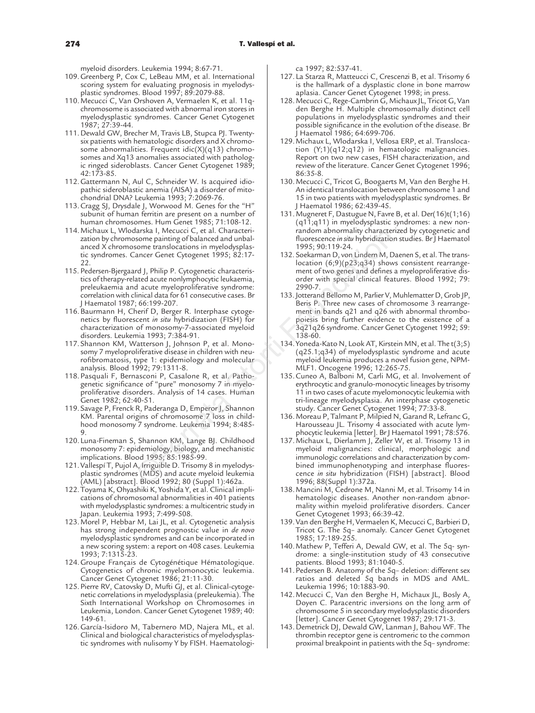myeloid disorders. Leukemia 1994; 8:67-71.

- 109.Greenberg P, Cox C, LeBeau MM, et al. International scoring system for evaluating prognosis in myelodysplastic syndromes. Blood 1997; 89:2079-88.
- 110.Mecucci C, Van Orshoven A, Vermaelen K, et al. 11qchromosome is associated with abnormal iron stores in myelodysplastic syndromes. Cancer Genet Cytogenet 1987; 27:39-44.
- 111. Dewald GW, Brecher M, Travis LB, Stupca PJ. Twentysix patients with hematologic disorders and X chromosome abnormalities. Frequent idic(X)(q13) chromosomes and Xq13 anomalies associated with pathologic ringed sideroblasts. Cancer Genet Cytogenet 1989; 42:173-85.
- 112.Gattermann N, Aul C, Schneider W. Is acquired idiopathic sideroblastic anemia (AISA) a disorder of mitochondrial DNA? Leukemia 1993; 7:2069-76.
- 113.Cragg SJ, Drysdale J, Worwood M. Genes for the "H" subunit of human ferritin are present on a number of human chromosomes. Hum Genet 1985; 71:108-12.
- 114.Michaux L, Wlodarska I, Mecucci C, et al. Characterization by chromosome painting of balanced and unbalanced X chromosome translocations in myelodysplastic syndromes. Cancer Genet Cytogenet 1995; 82:17-  $22$
- 115. Pedersen-Bjergaard J, Philip P. Cytogenetic characteristics of therapy-related acute nonlymphocytic leukaemia, preleukaemia and acute myeloproliferative syndrome: correlation with clinical data for 61 consecutive cases. Br J Haematol 1987; 66:199-207.
- 116.Baurmann H, Cherif D, Berger R. Interphase cytogenetics by fluorescent *in situ* hybridization (FISH) for characterization of monosomy-7-associated myeloid disorders. Leukemia 1993; 7:384-91.
- 117.Shannon KM, Watterson J, Johnson P, et al. Monosomy 7 myeloproliferative disease in children with neurofibromatosis, type 1: epidemiology and molecular analysis. Blood 1992; 79:1311-8.
- 118.Pasquali F, Bernasconi P, Casalone R, et al. Pathogenetic significance of "pure" monosomy 7 in myeloproliferative disorders. Analysis of 14 cases. Human Genet 1982; 62:40-51.
- 119.Savage P, Frenck R, Paderanga D, Emperor J, Shannon KM. Parental origins of chromosome 7 loss in childhood monosomy 7 syndrome. Leukemia 1994; 8:485- 9.
- 120.Luna-Fineman S, Shannon KM, Lange BJ. Childhood monosomy 7: epidemiology, biology, and mechanistic implications. Blood 1995; 85:1985-99.
- 121.Vallespí T, Pujol A, Irriguible D. Trisomy 8 in myelodysplastic syndromes (MDS) and acute myeloid leukemia (AML) [abstract]. Blood 1992; 80 (Suppl 1):462a.
- 122.Toyama K, Ohyashiki K, Yoshida Y, et al. Clinical implications of chromosomal abnormalities in 401 patients with myelodysplastic syndromes: a multicentric study in Japan. Leukemia 1993; 7:499-508.
- 123.Morel P, Hebbar M, Lai JL, et al. Cytogenetic analysis has strong independent prognostic value in *de novo* myelodysplastic syndromes and can be incorporated in a new scoring system: a report on 408 cases. Leukemia 1993; 7:1315-23.
- 124.Groupe Français de Cytogénétique Hématologique. Cytogenetics of chronic myelomonocytic leukemia. Cancer Genet Cytogenet 1986; 21:11-30.
- 125.Pierre RV, Catovsky D, Mufti GJ, et al. Clinical-cytogenetic correlations in myelodysplasia (preleukemia). The Sixth International Workshop on Chromosomes in Leukemia, London. Cancer Genet Cytogenet 1989; 40: 149-61.
- 126.García-Isidoro M, Tabernero MD, Najera ML, et al. Clinical and biological characteristics of myelodysplastic syndromes with nulisomy Y by FISH. Haematologi-

ca 1997; 82:537-41.

- 127.La Starza R, Matteucci C, Crescenzi B, et al. Trisomy 6 is the hallmark of a dysplastic clone in bone marrow aplasia. Cancer Genet Cytogenet 1998; in press.
- 128.Mecucci C, Rege-Cambrin G, Michaux JL, Tricot G, Van den Berghe H. Multiple chromosomally distinct cell populations in myelodysplastic syndromes and their possible significance in the evolution of the disease. Br J Haematol 1986; 64:699-706.
- 129.Michaux L, Wlodarska I, Vellosa ERP, et al. Translocation (Y;1)(q12;q12) in hematologic malignancies. Report on two new cases, FISH characterization, and review of the literature. Cancer Genet Cytogenet 1996; 86:35-8.
- 130.Mecucci C, Tricot G, Boogaerts M, Van den Berghe H. An identical translocation between chromosome 1 and 15 in two patients with myelodysplastic syndromes. Br J Haematol 1986; 62:439-45.
- 131.Mugneret F, Dastugue N, Favre B, et al. Der(16)t(1;16) (q11;q11) in myelodysplastic syndromes: a new nonrandom abnormality characterized by cytogenetic and fluorescence *in situ* hybridization studies. Br J Haematol 1995; 90:119-24.
- 132. Soekarman D, von Lindern M, Daenen S, et al. The translocation (6;9)(p23;q34) shows consistent rearrangement of two genes and defines a myeloproliferative disorder with special clinical features. Blood 1992; 79: 2990-7.
- 133. Jotterand Bellomo M, Parlier V, Muhlematter D, Grob JP, Beris P. Three new cases of chromosome 3 rearrangement in bands q21 and q26 with abnormal thrombopoiesis bring further evidence to the existence of a 3q21q26 syndrome. Cancer Genet Cytogenet 1992; 59: 138-60.
- 134.Yoneda-Kato N, Look AT, Kirstein MN, et al. The t(3;5) (q25.1;q34) of myelodysplastic syndrome and acute myeloid leukemia produces a novel fusion gene, NPM-MLF1. Oncogene 1996; 12:265-75.
- 135.Cuneo A, Balboni M, Carli MG, et al. Involvement of erythrocytic and granulo-monocytic lineages by trisomy 11 in two cases of acute myelomonocytic leukemia with tri-lineage myelodysplasia. An interphase cytogenetic study. Cancer Genet Cytogenet 1994; 77:33-8.
- 136.Moreau P, Talmant P, Milpied N, Garand R, Lefranc G, Harousseau JL. Trisomy 4 associated with acute lymphocytic leukemia [letter]. Br J Haematol 1991; 78:576.
- 137.Michaux L, Dierlamm J, Zeller W, et al. Trisomy 13 in myeloid malignancies: clinical, morphologic and immunologic correlations and characterization by combined immunophenotyping and interphase fluorescence *in situ* hybridization (FISH) [abstract]. Blood 1996; 88(Suppl 1):372a. areasta I, Mectect C, et al. Character<br>
some painting of balanced and unbal-<br>
some painting of balanced and unbal-<br>
are crease in study splanes<br>
and the processes Branch of the proportion of the proportion of the proportio
	- 138.Mancini M, Cedrone M, Nanni M, et al. Trisomy 14 in hematologic diseases. Another non-random abnormality within myeloid proliferative disorders. Cancer Genet Cytogenet 1993; 66:39-42.
	- 139.Van den Berghe H, Vermaelen K, Mecucci C, Barbieri D, Tricot G. The 5q– anomaly. Cancer Genet Cytogenet 1985; 17:189-255.
	- 140.Mathew P, Tefferi A, Dewald GW, et al. The 5q- syndrome: a single-institution study of 43 consecutive patients. Blood 1993; 81:1040-5.
	- 141.Pedersen B. Anatomy of the 5q– deletion: different sex ratios and deleted 5q bands in MDS and AML. Leukemia 1996; 10:1883-90.
	- 142.Mecucci C, Van den Berghe H, Michaux JL, Bosly A, Doyen C. Paracentric inversions on the long arm of chromosome 5 in secondary myelodysplastic disorders [letter]. Cancer Genet Cytogenet 1987; 29:171-3.
	- 143. Demetrick DJ, Dewald GW, Lanman J, Bahou WF. The thrombin receptor gene is centromeric to the common proximal breakpoint in patients with the 5q– syndrome: